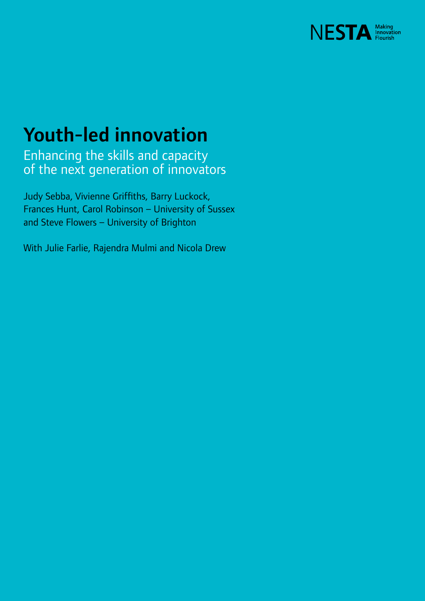

## Youth-led innovation

Enhancing the skills and capacity of the next generation of innovators

Judy Sebba, Vivienne Griffiths, Barry Luckock, Frances Hunt, Carol Robinson – University of Sussex and Steve Flowers – University of Brighton

With Julie Farlie, Rajendra Mulmi and Nicola Drew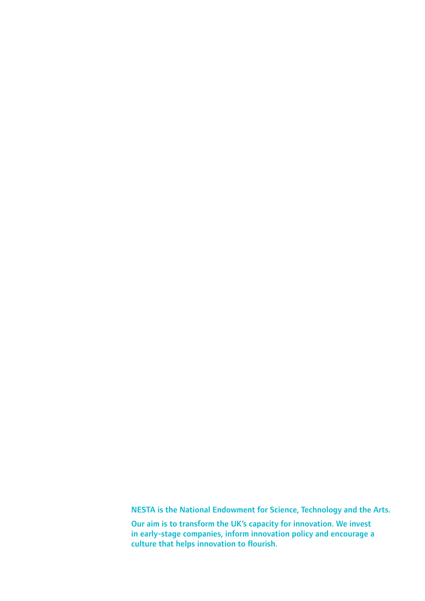NESTA is the National Endowment for Science, Technology and the Arts.

Our aim is to transform the UK's capacity for innovation. We invest in early-stage companies, inform innovation policy and encourage a culture that helps innovation to flourish.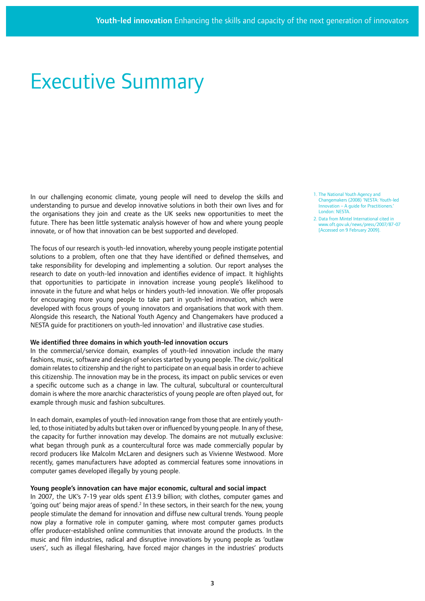## Executive Summary

In our challenging economic climate, young people will need to develop the skills and understanding to pursue and develop innovative solutions in both their own lives and for the organisations they join and create as the UK seeks new opportunities to meet the future. There has been little systematic analysis however of how and where young people innovate, or of how that innovation can be best supported and developed.

The focus of our research is youth-led innovation, whereby young people instigate potential solutions to a problem, often one that they have identified or defined themselves, and take responsibility for developing and implementing a solution. Our report analyses the research to date on youth-led innovation and identifies evidence of impact. It highlights that opportunities to participate in innovation increase young people's likelihood to innovate in the future and what helps or hinders youth-led innovation. We offer proposals for encouraging more young people to take part in youth-led innovation, which were developed with focus groups of young innovators and organisations that work with them. Alongside this research, the National Youth Agency and Changemakers have produced a NESTA guide for practitioners on youth-led innovation<sup>1</sup> and illustrative case studies.

#### We identified three domains in which youth-led innovation occurs

In the commercial/service domain, examples of youth-led innovation include the many fashions, music, software and design of services started by young people. The civic/political domain relates to citizenship and the right to participate on an equal basis in order to achieve this citizenship. The innovation may be in the process, its impact on public services or even a specific outcome such as a change in law. The cultural, subcultural or countercultural domain is where the more anarchic characteristics of young people are often played out, for example through music and fashion subcultures.

In each domain, examples of youth-led innovation range from those that are entirely youthled, to those initiated by adults but taken over or influenced by young people. In any of these, the capacity for further innovation may develop. The domains are not mutually exclusive: what began through punk as a countercultural force was made commercially popular by record producers like Malcolm McLaren and designers such as Vivienne Westwood. More recently, games manufacturers have adopted as commercial features some innovations in computer games developed illegally by young people.

#### Young people's innovation can have major economic, cultural and social impact

In 2007, the UK's 7-19 year olds spent £13.9 billion; with clothes, computer games and 'going out' being major areas of spend.<sup>2</sup> In these sectors, in their search for the new, young people stimulate the demand for innovation and diffuse new cultural trends. Young people now play a formative role in computer gaming, where most computer games products offer producer-established online communities that innovate around the products. In the music and film industries, radical and disruptive innovations by young people as 'outlaw users', such as illegal filesharing, have forced major changes in the industries' products

- 1. The National Youth Agency and Changemakers (2008) 'NESTA: Youth-led Innovation – A guide for Practitioners.' London: NESTA.
- 2. Data from Mintel International cited in www.oft.gov.uk/news/press/2007/87-07 [Accessed on 9 February 2009].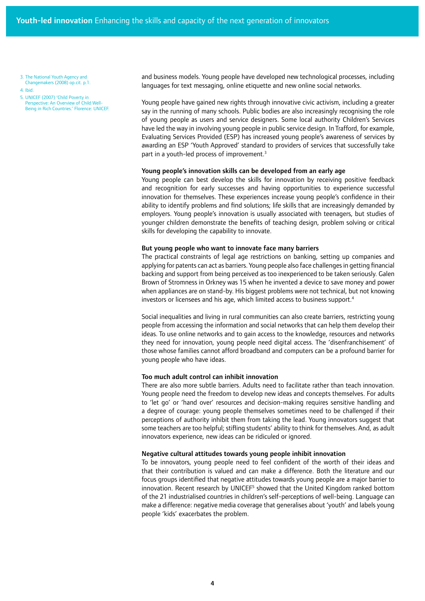3. The National Youth Agency and Changemakers (2008) op.cit. p.1.

4. Ibid.

5. UNICEF (2007) 'Child Poverty in Perspective: An Overview of Child Well-Being in Rich Countries.' Florence: UNICEF. and business models. Young people have developed new technological processes, including languages for text messaging, online etiquette and new online social networks.

Young people have gained new rights through innovative civic activism, including a greater say in the running of many schools. Public bodies are also increasingly recognising the role of young people as users and service designers. Some local authority Children's Services have led the way in involving young people in public service design. In Trafford, for example, Evaluating Services Provided (ESP) has increased young people's awareness of services by awarding an ESP 'Youth Approved' standard to providers of services that successfully take part in a youth-led process of improvement.<sup>3</sup>

#### Young people's innovation skills can be developed from an early age

Young people can best develop the skills for innovation by receiving positive feedback and recognition for early successes and having opportunities to experience successful innovation for themselves. These experiences increase young people's confidence in their ability to identify problems and find solutions; life skills that are increasingly demanded by employers. Young people's innovation is usually associated with teenagers, but studies of younger children demonstrate the benefits of teaching design, problem solving or critical skills for developing the capability to innovate.

#### But young people who want to innovate face many barriers

The practical constraints of legal age restrictions on banking, setting up companies and applying for patents can act as barriers. Young people also face challenges in getting financial backing and support from being perceived as too inexperienced to be taken seriously. Galen Brown of Stromness in Orkney was 15 when he invented a device to save money and power when appliances are on stand-by. His biggest problems were not technical, but not knowing investors or licensees and his age, which limited access to business support.<sup>4</sup>

Social inequalities and living in rural communities can also create barriers, restricting young people from accessing the information and social networks that can help them develop their ideas. To use online networks and to gain access to the knowledge, resources and networks they need for innovation, young people need digital access. The 'disenfranchisement' of those whose families cannot afford broadband and computers can be a profound barrier for young people who have ideas.

#### Too much adult control can inhibit innovation

There are also more subtle barriers. Adults need to facilitate rather than teach innovation. Young people need the freedom to develop new ideas and concepts themselves. For adults to 'let go' or 'hand over' resources and decision-making requires sensitive handling and a degree of courage: young people themselves sometimes need to be challenged if their perceptions of authority inhibit them from taking the lead. Young innovators suggest that some teachers are too helpful; stifling students' ability to think for themselves. And, as adult innovators experience, new ideas can be ridiculed or ignored.

## Negative cultural attitudes towards young people inhibit innovation

To be innovators, young people need to feel confident of the worth of their ideas and that their contribution is valued and can make a difference. Both the literature and our focus groups identified that negative attitudes towards young people are a major barrier to innovation. Recent research by UNICEF<sup>5</sup> showed that the United Kingdom ranked bottom of the 21 industrialised countries in children's self-perceptions of well-being. Language can make a difference: negative media coverage that generalises about 'youth' and labels young people 'kids' exacerbates the problem.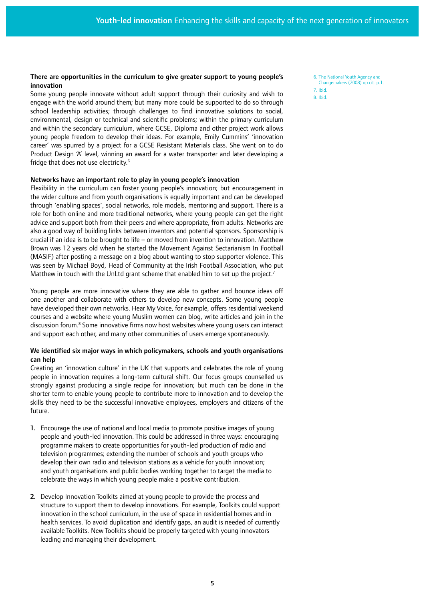### There are opportunities in the curriculum to give greater support to young people's innovation

Some young people innovate without adult support through their curiosity and wish to engage with the world around them; but many more could be supported to do so through school leadership activities; through challenges to find innovative solutions to social, environmental, design or technical and scientific problems; within the primary curriculum and within the secondary curriculum, where GCSE, Diploma and other project work allows young people freedom to develop their ideas. For example, Emily Cummins' 'innovation career' was spurred by a project for a GCSE Resistant Materials class. She went on to do Product Design 'A' level, winning an award for a water transporter and later developing a fridge that does not use electricity.6

#### Networks have an important role to play in young people's innovation

Flexibility in the curriculum can foster young people's innovation; but encouragement in the wider culture and from youth organisations is equally important and can be developed through 'enabling spaces', social networks, role models, mentoring and support. There is a role for both online and more traditional networks, where young people can get the right advice and support both from their peers and where appropriate, from adults. Networks are also a good way of building links between inventors and potential sponsors. Sponsorship is crucial if an idea is to be brought to life – or moved from invention to innovation. Matthew Brown was 12 years old when he started the Movement Against Sectarianism In Football (MASIF) after posting a message on a blog about wanting to stop supporter violence. This was seen by Michael Boyd, Head of Community at the Irish Football Association, who put Matthew in touch with the UnLtd grant scheme that enabled him to set up the project.<sup>7</sup>

Young people are more innovative where they are able to gather and bounce ideas off one another and collaborate with others to develop new concepts. Some young people have developed their own networks. Hear My Voice, for example, offers residential weekend courses and a website where young Muslim women can blog, write articles and join in the discussion forum.<sup>8</sup> Some innovative firms now host websites where young users can interact and support each other, and many other communities of users emerge spontaneously.

## We identified six major ways in which policymakers, schools and youth organisations can help

Creating an 'innovation culture' in the UK that supports and celebrates the role of young people in innovation requires a long-term cultural shift. Our focus groups counselled us strongly against producing a single recipe for innovation; but much can be done in the shorter term to enable young people to contribute more to innovation and to develop the skills they need to be the successful innovative employees, employers and citizens of the future.

- 1. Encourage the use of national and local media to promote positive images of young people and youth-led innovation. This could be addressed in three ways: encouraging programme makers to create opportunities for youth-led production of radio and television programmes; extending the number of schools and youth groups who develop their own radio and television stations as a vehicle for youth innovation; and youth organisations and public bodies working together to target the media to celebrate the ways in which young people make a positive contribution.
- 2. Develop Innovation Toolkits aimed at young people to provide the process and structure to support them to develop innovations. For example, Toolkits could support innovation in the school curriculum, in the use of space in residential homes and in health services. To avoid duplication and identify gaps, an audit is needed of currently available Toolkits. New Toolkits should be properly targeted with young innovators leading and managing their development.
- 6. The National Youth Agency and Changemakers (2008) op.cit. p.1.
- 7. Ibid.
- 8. Ibid.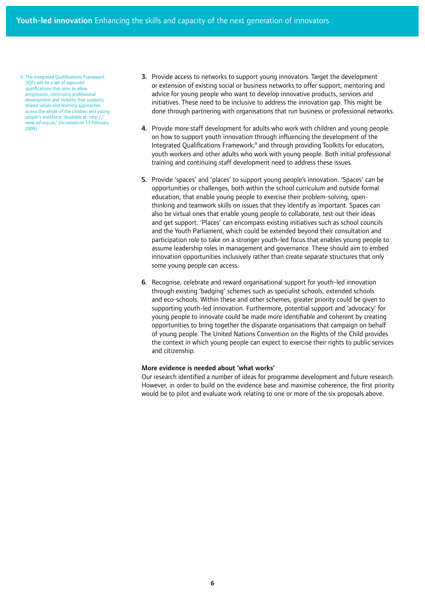9. The Integrated Qualifications Framework (IQF) will be a set of approved qualifications that aims to allow progression, continuing professional development and mobility that supports shared values and learning approaches across the whole of the children and young people's workforce. Available at: http:// www.iqf.org.uk/ [Accessed on 13 February 2009].

- 3. Provide access to networks to support young innovators. Target the development or extension of existing social or business networks to offer support, mentoring and advice for young people who want to develop innovative products, services and initiatives. These need to be inclusive to address the innovation gap. This might be done through partnering with organisations that run business or professional networks.
- 4. Provide more staff development for adults who work with children and young people on how to support youth innovation through influencing the development of the Integrated Qualifications Framework;<sup>9</sup> and through providing Toolkits for educators, youth workers and other adults who work with young people. Both initial professional training and continuing staff development need to address these issues.
- 5. Provide 'spaces' and 'places' to support young people's innovation. 'Spaces' can be opportunities or challenges, both within the school curriculum and outside formal education, that enable young people to exercise their problem-solving, openthinking and teamwork skills on issues that they identify as important. Spaces can also be virtual ones that enable young people to collaborate, test out their ideas and get support. 'Places' can encompass existing initiatives such as school councils and the Youth Parliament, which could be extended beyond their consultation and participation role to take on a stronger youth-led focus that enables young people to assume leadership roles in management and governance. These should aim to embed innovation opportunities inclusively rather than create separate structures that only some young people can access.
- 6. Recognise, celebrate and reward organisational support for youth-led innovation through existing 'badging' schemes such as specialist schools, extended schools and eco-schools. Within these and other schemes, greater priority could be given to supporting youth-led innovation. Furthermore, potential support and 'advocacy' for young people to innovate could be made more identifiable and coherent by creating opportunities to bring together the disparate organisations that campaign on behalf of young people. The United Nations Convention on the Rights of the Child provides the context in which young people can expect to exercise their rights to public services and citizenship.

#### More evidence is needed about 'what works'

Our research identified a number of ideas for programme development and future research. However, in order to build on the evidence base and maximise coherence, the first priority would be to pilot and evaluate work relating to one or more of the six proposals above.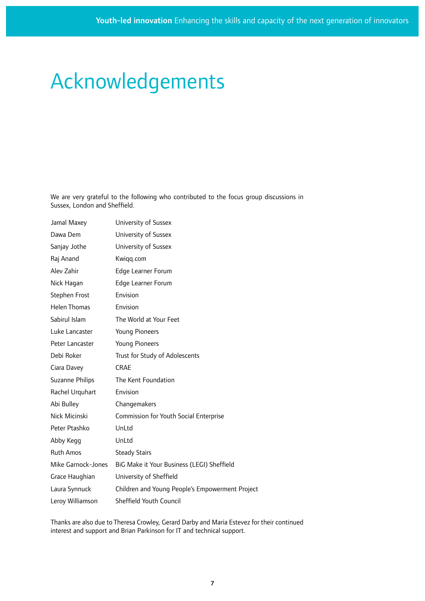## Acknowledgements

We are very grateful to the following who contributed to the focus group discussions in Sussex, London and Sheffield.

| Jamal Maxey            | University of Sussex                            |
|------------------------|-------------------------------------------------|
| Dawa Dem               | University of Sussex                            |
| Sanjay Jothe           | University of Sussex                            |
| Raj Anand              | Kwiqq.com                                       |
| Alev Zahir             | Edge Learner Forum                              |
| Nick Hagan             | Edge Learner Forum                              |
| Stephen Frost          | Envision                                        |
| <b>Helen Thomas</b>    | Envision                                        |
| Sabirul Islam          | The World at Your Feet                          |
| Luke Lancaster         | <b>Young Pioneers</b>                           |
| Peter Lancaster        | <b>Young Pioneers</b>                           |
| Debi Roker             | Trust for Study of Adolescents                  |
| Ciara Davey            | <b>CRAE</b>                                     |
| <b>Suzanne Philips</b> | The Kent Foundation                             |
| Rachel Urquhart        | Envision                                        |
| Abi Bulley             | Changemakers                                    |
| Nick Micinski          | Commission for Youth Social Enterprise          |
| Peter Ptashko          | UnLtd                                           |
| Abby Kegg              | UnLtd                                           |
| <b>Ruth Amos</b>       | <b>Steady Stairs</b>                            |
| Mike Garnock-Jones     | BiG Make it Your Business (LEGI) Sheffield      |
| Grace Haughian         | University of Sheffield                         |
| Laura Synnuck          | Children and Young People's Empowerment Project |
| Leroy Williamson       | Sheffield Youth Council                         |

Thanks are also due to Theresa Crowley, Gerard Darby and Maria Estevez for their continued interest and support and Brian Parkinson for IT and technical support.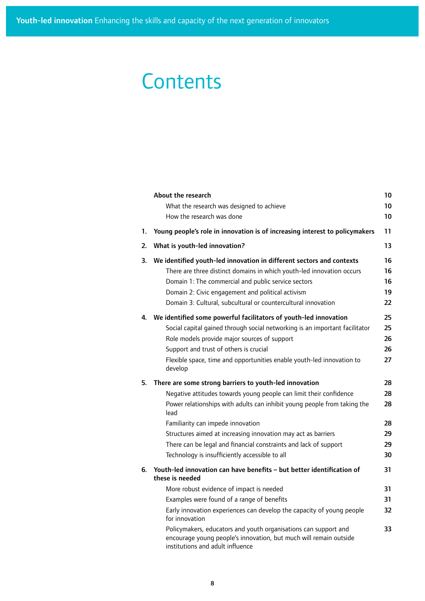## **Contents**

|    | About the research<br>What the research was designed to achieve<br>How the research was done                                                                                                                                                                                                                                  | 10<br>10<br>10             |
|----|-------------------------------------------------------------------------------------------------------------------------------------------------------------------------------------------------------------------------------------------------------------------------------------------------------------------------------|----------------------------|
| 1. | Young people's role in innovation is of increasing interest to policymakers                                                                                                                                                                                                                                                   | 11                         |
| 2. | What is youth-led innovation?                                                                                                                                                                                                                                                                                                 | 13                         |
| 3. | We identified youth-led innovation in different sectors and contexts<br>There are three distinct domains in which youth-led innovation occurs<br>Domain 1: The commercial and public service sectors<br>Domain 2: Civic engagement and political activism<br>Domain 3: Cultural, subcultural or countercultural innovation    | 16<br>16<br>16<br>19<br>22 |
| 4. | We identified some powerful facilitators of youth-led innovation<br>Social capital gained through social networking is an important facilitator<br>Role models provide major sources of support<br>Support and trust of others is crucial<br>Flexible space, time and opportunities enable youth-led innovation to<br>develop | 25<br>25<br>26<br>26<br>27 |
| 5. | There are some strong barriers to youth-led innovation                                                                                                                                                                                                                                                                        | 28                         |
|    | Negative attitudes towards young people can limit their confidence                                                                                                                                                                                                                                                            | 28                         |
|    | Power relationships with adults can inhibit young people from taking the<br>lead                                                                                                                                                                                                                                              | 28                         |
|    | Familiarity can impede innovation                                                                                                                                                                                                                                                                                             | 28                         |
|    | Structures aimed at increasing innovation may act as barriers                                                                                                                                                                                                                                                                 | 29                         |
|    | There can be legal and financial constraints and lack of support                                                                                                                                                                                                                                                              | 29                         |
|    | Technology is insufficiently accessible to all                                                                                                                                                                                                                                                                                | 30                         |
| 6. | Youth-led innovation can have benefits - but better identification of<br>these is needed                                                                                                                                                                                                                                      | 31                         |
|    | More robust evidence of impact is needed                                                                                                                                                                                                                                                                                      | 31                         |
|    | Examples were found of a range of benefits                                                                                                                                                                                                                                                                                    | 31                         |
|    | Early innovation experiences can develop the capacity of young people<br>for innovation                                                                                                                                                                                                                                       | 32                         |
|    | Policymakers, educators and youth organisations can support and<br>encourage young people's innovation, but much will remain outside<br>institutions and adult influence                                                                                                                                                      | 33                         |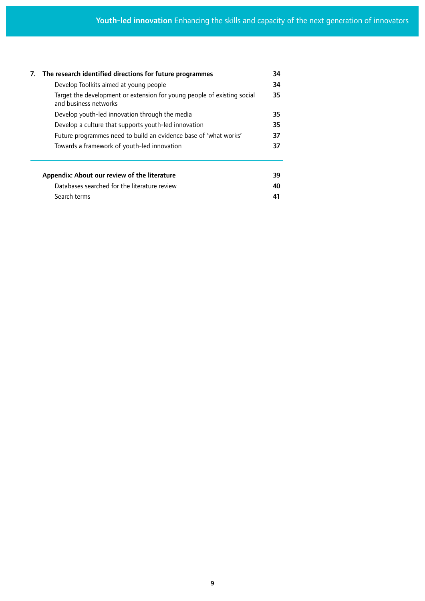|  | 7. The research identified directions for future programmes                                      |    |  |  |
|--|--------------------------------------------------------------------------------------------------|----|--|--|
|  | Develop Toolkits aimed at young people                                                           |    |  |  |
|  | Target the development or extension for young people of existing social<br>and business networks |    |  |  |
|  | Develop youth-led innovation through the media                                                   | 35 |  |  |
|  | Develop a culture that supports youth-led innovation                                             |    |  |  |
|  | Future programmes need to build an evidence base of 'what works'                                 |    |  |  |
|  | Towards a framework of youth-led innovation                                                      |    |  |  |
|  | Appendix: About our review of the literature                                                     | 39 |  |  |
|  | Databases searched for the literature review                                                     |    |  |  |
|  | Search terms                                                                                     |    |  |  |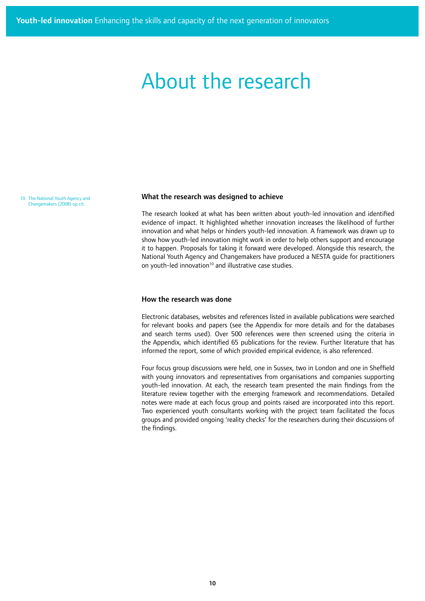## About the research

10. The National Youth Agency and Changemakers (2008) op.cit.

#### What the research was designed to achieve

The research looked at what has been written about youth-led innovation and identified evidence of impact. It highlighted whether innovation increases the likelihood of further innovation and what helps or hinders youth-led innovation. A framework was drawn up to show how youth-led innovation might work in order to help others support and encourage it to happen. Proposals for taking it forward were developed. Alongside this research, the National Youth Agency and Changemakers have produced a NESTA guide for practitioners on youth-led innovation<sup>10</sup> and illustrative case studies.

### How the research was done

Electronic databases, websites and references listed in available publications were searched for relevant books and papers (see the Appendix for more details and for the databases and search terms used). Over 500 references were then screened using the criteria in the Appendix, which identified 65 publications for the review. Further literature that has informed the report, some of which provided empirical evidence, is also referenced.

Four focus group discussions were held, one in Sussex, two in London and one in Sheffield with young innovators and representatives from organisations and companies supporting youth-led innovation. At each, the research team presented the main findings from the literature review together with the emerging framework and recommendations. Detailed notes were made at each focus group and points raised are incorporated into this report. Two experienced youth consultants working with the project team facilitated the focus groups and provided ongoing 'reality checks' for the researchers during their discussions of the findings.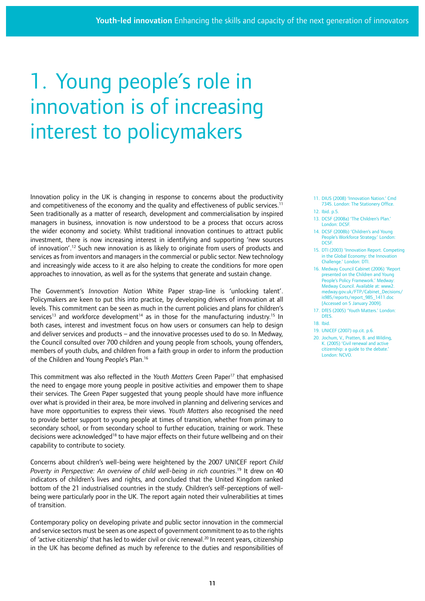# 1. Young people's role in innovation is of increasing interest to policymakers

Innovation policy in the UK is changing in response to concerns about the productivity and competitiveness of the economy and the quality and effectiveness of public services.<sup>11</sup> Seen traditionally as a matter of research, development and commercialisation by inspired managers in business, innovation is now understood to be a process that occurs across the wider economy and society. Whilst traditional innovation continues to attract public investment, there is now increasing interest in identifying and supporting 'new sources of innovation'.12 Such new innovation is as likely to originate from users of products and services as from inventors and managers in the commercial or public sector. New technology and increasingly wide access to it are also helping to create the conditions for more open approaches to innovation, as well as for the systems that generate and sustain change.

The Government's *Innovation Nation* White Paper strap-line is 'unlocking talent'. Policymakers are keen to put this into practice, by developing drivers of innovation at all levels. This commitment can be seen as much in the current policies and plans for children's services<sup>13</sup> and workforce development<sup>14</sup> as in those for the manufacturing industry.<sup>15</sup> In both cases, interest and investment focus on how users or consumers can help to design and deliver services and products – and the innovative processes used to do so. In Medway, the Council consulted over 700 children and young people from schools, young offenders, members of youth clubs, and children from a faith group in order to inform the production of the Children and Young People's Plan.<sup>16</sup>

This commitment was also reflected in the *Youth Matters* Green Paper17 that emphasised the need to engage more young people in positive activities and empower them to shape their services. The Green Paper suggested that young people should have more influence over what is provided in their area, be more involved in planning and delivering services and have more opportunities to express their views. *Youth Matters* also recognised the need to provide better support to young people at times of transition, whether from primary to secondary school, or from secondary school to further education, training or work. These decisions were acknowledged<sup>18</sup> to have major effects on their future wellbeing and on their capability to contribute to society.

Concerns about children's well-being were heightened by the 2007 UNICEF report *Child Poverty in Perspective: An overview of child well-being in rich countries*. 19 It drew on 40 indicators of children's lives and rights, and concluded that the United Kingdom ranked bottom of the 21 industrialised countries in the study. Children's self-perceptions of wellbeing were particularly poor in the UK. The report again noted their vulnerabilities at times of transition.

Contemporary policy on developing private and public sector innovation in the commercial and service sectors must be seen as one aspect of government commitment to as to the rights of 'active citizenship' that has led to wider civil or civic renewal.<sup>20</sup> In recent years, citizenship in the UK has become defined as much by reference to the duties and responsibilities of

- 11. DIUS (2008) 'Innovation Nation.' Cmd 7345. London: The Stationery Office.
- 12. Ibid. p.5.
- 13. DCSF (2008a) 'The Children's Plan.' London: DCSF.
- 14. DCSF (2008b) 'Children's and Young People's Workforce Strategy.' London: D<sub>CSF</sub>
- 15. DTI (2003) 'Innovation Report. Competing in the Global Economy: the Innovation Challenge.' London: DTI.
- 16. Medway Council Cabinet (2006) 'Report presented on the Children and Young People's Policy Framework.' Medway Medway Council. Available at: www2. medway.gov.uk/FTP/Cabinet\_Decisions/ is985/reports/report\_985\_1411.doc [Accessed on 5 January 2009].
- 17. DfES (2005) 'Youth Matters.' London: **DfES**
- 18. Ibid.
- 19. UNICEF (2007) op.cit. p.6.
- 20. Jochum, V., Pratten, B. and Wilding, K. (2005) 'Civil renewal and active citizenship: a guide to the debate.' London: NCVO.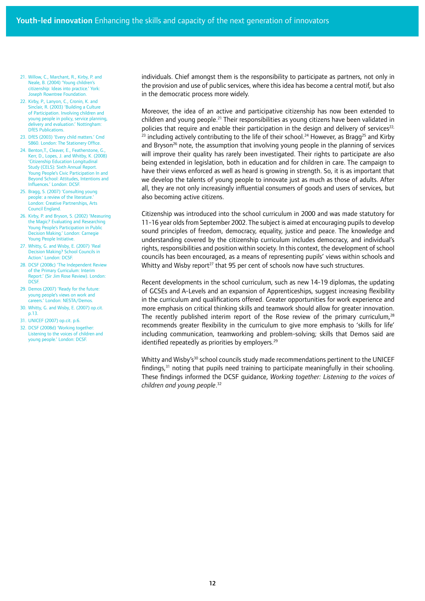- 21. Willow, C., Marchant, R., Kirby, P. and Neale, B. (2004) 'Young children's citizenship: Ideas into practice.' York: Joseph Rowntree Foundation.
- 22. Kirby, P., Lanyon, C., Cronin, K. and Sinclair, R. (2003) 'Building a Culture of Participation. Involving children and young people in policy, service planning, delivery and evaluation.' Nottingham: DfES Publications.
- 23. DfES (2003) 'Every child matters.' Cmd 5860. London: The Stationery Office.
- 24. Benton, T., Cleaver, E., Featherstone, G. Kerr, D., Lopes, J. and Whitby, K. (2008) 'Citizenship Education Longitudinal Study (CELS): Sixth Annual Report. Young People's Civic Participation In and Beyond School: Attitudes, Intentions and Influences.' London: DCSF.
- 25. Bragg, S. (2007) 'Consulting young people: a review of the literature. London: Creative Partnerships, Arts Council England.
- 26. Kirby, P. and Bryson, S. (2002) 'Measuring the Magic? Evaluating and Researching Young People's Participation in Public Decision Making.' London: Carnegie Young People Initiative.
- 27. Whitty, G. and Wisby, E. (2007) 'Real Decision Making? School Councils in Action.' London: DCSF.
- 28. DCSF (2008c) 'The Independent Review of the Primary Curriculum: Interim Report.' (Sir Jim Rose Review). London: **DCSF.**
- 29. Demos (2007) 'Ready for the future: young people's views on work and careers.' London: NESTA/Demos.
- 30. Whitty, G. and Wisby, E. (2007) op.cit. p.13.
- 31. UNICEF (2007) op.cit. p.6.
- 32. DCSF (2008d) 'Working together: Listening to the voices of children and young people.' London: DCSF.

individuals. Chief amongst them is the responsibility to participate as partners, not only in the provision and use of public services, where this idea has become a central motif, but also in the democratic process more widely.

Moreover, the idea of an active and participative citizenship has now been extended to children and young people.<sup>21</sup> Their responsibilities as young citizens have been validated in policies that require and enable their participation in the design and delivery of services $22$ ,  $23$  including actively contributing to the life of their school.<sup>24</sup> However, as Bragg<sup>25</sup> and Kirby and Bryson<sup>26</sup> note, the assumption that involving young people in the planning of services will improve their quality has rarely been investigated. Their rights to participate are also being extended in legislation, both in education and for children in care. The campaign to have their views enforced as well as heard is growing in strength. So, it is as important that we develop the talents of young people to innovate just as much as those of adults. After all, they are not only increasingly influential consumers of goods and users of services, but also becoming active citizens.

Citizenship was introduced into the school curriculum in 2000 and was made statutory for 11-16 year olds from September 2002. The subject is aimed at encouraging pupils to develop sound principles of freedom, democracy, equality, justice and peace. The knowledge and understanding covered by the citizenship curriculum includes democracy, and individual's rights, responsibilities and position within society. In this context, the development of school councils has been encouraged, as a means of representing pupils' views within schools and Whitty and Wisby report<sup>27</sup> that 95 per cent of schools now have such structures.

Recent developments in the school curriculum, such as new 14-19 diplomas, the updating of GCSEs and A-Levels and an expansion of Apprenticeships, suggest increasing flexibility in the curriculum and qualifications offered. Greater opportunities for work experience and more emphasis on critical thinking skills and teamwork should allow for greater innovation. The recently published interim report of the Rose review of the primary curriculum, $28$ recommends greater flexibility in the curriculum to give more emphasis to 'skills for life' including communication, teamworking and problem-solving; skills that Demos said are identified repeatedly as priorities by employers. $29$ 

Whitty and Wisby's $30$  school councils study made recommendations pertinent to the UNICEF findings, $31$  noting that pupils need training to participate meaningfully in their schooling. These findings informed the DCSF guidance, *Working together: Listening to the voices of children and young people*. 32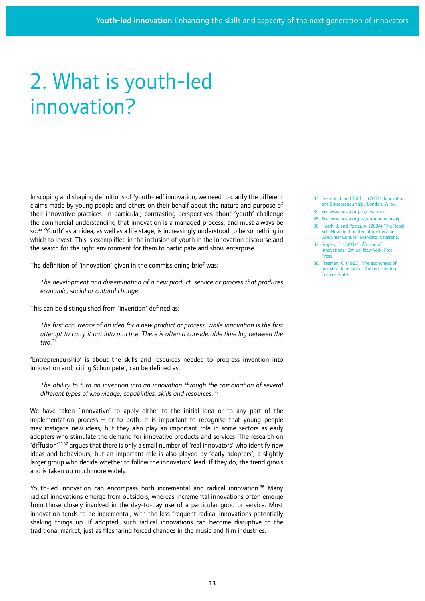# 2. What is youth-led innovation?

In scoping and shaping definitions of 'youth-led' innovation, we need to clarify the different claims made by young people and others on their behalf about the nature and purpose of their innovative practices. In particular, contrasting perspectives about 'youth' challenge the commercial understanding that innovation is a managed process, and must always be so.<sup>33</sup> 'Youth' as an idea, as well as a life stage, is increasingly understood to be something in which to invest. This is exemplified in the inclusion of youth in the innovation discourse and the search for the right environment for them to participate and show enterprise.

The definition of 'innovation' given in the commissioning brief was:

*The development and dissemination of a new product, service or process that produces economic, social or cultural change.* 

This can be distinguished from 'invention' defined as:

*The first occurrence of an idea for a new product or process, while innovation is the first attempt to carry it out into practice. There is often a considerable time lag between the two.*<sup>34</sup>

'Entrepreneurship' is about the skills and resources needed to progress invention into innovation and, citing Schumpeter, can be defined as:

*The ability to turn an invention into an innovation through the combination of several different types of knowledge, capabilities, skills and resources.*<sup>35</sup>

We have taken 'innovative' to apply either to the initial idea or to any part of the implementation process – or to both. It is important to recognise that young people may instigate new ideas, but they also play an important role in some sectors as early adopters who stimulate the demand for innovative products and services. The research on 'diffusion'<sup>36,37</sup> argues that there is only a small number of 'real innovators' who identify new ideas and behaviours; but an important role is also played by 'early adopters', a slightly larger group who decide whether to follow the innovators' lead. If they do, the trend grows and is taken up much more widely.

Youth-led innovation can encompass both incremental and radical innovation.<sup>38</sup> Many radical innovations emerge from outsiders, whereas incremental innovations often emerge from those closely involved in the day-to-day use of a particular good or service. Most innovation tends to be incremental, with the less frequent radical innovations potentially shaking things up. If adopted, such radical innovations can become disruptive to the traditional market, just as filesharing forced changes in the music and film industries.

- 33. Bessant, J. and Tidd, J. (2007) 'Innovation and Entrepreneurship.' London: Wiley. 34. See www.nesta.org.uk/invention
- 35. See www.nesta.org.uk/entrepreneurship
- 36. Heath, J. and Potter, A. (2004) 'The Rebel Sell: How the Counterculture became Consumer Culture.' Mankato: Capstone.
- 37. Rogers, E. (2003) 'Diffusion of Innovations.' 5th ed. New York: Free Press.
- 38. Freeman, C. (1982) 'The economics of industrial innovation.' 2nd ed. London: Frances Pinter.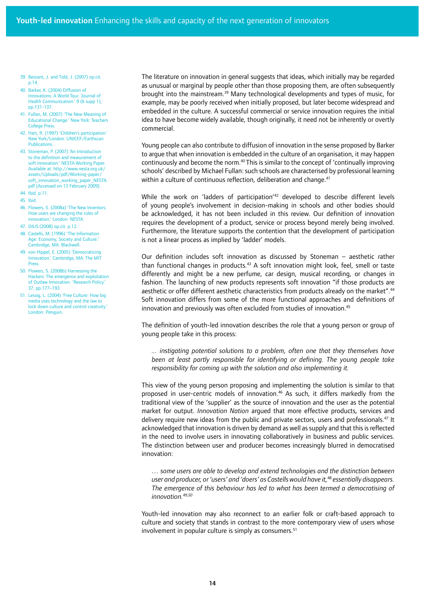- 39. Bessant, J. and Tidd, J. (2007) op.cit. p.14.
- 40. Barker, K. (2004) Diffusion of Innovations: A World Tour. Journal of Health Communication.' 9 (6 supp 1), pp.131-137.
- 41. Fullan, M. (2007) 'The New Meaning of Educational Change.' New York: Teachers College Press.
- 42. Hart, R. (1997) 'Children's participation. New York/London: UNICEF/Earthscan Publications.
- 43. Stoneman, P. (2007) 'An Introduction to the definition and measurement of soft innovation.' NESTA Working Paper. Available at: http://www.nesta.org.uk/ assets/Uploads/pdf/Working-paper/ soft\_innovation\_working\_paper\_NESTA. pdf [Accessed on 13 February 2009].
- 44. Ibid. p.11.
- 45. Ibid.
- 46. Flowers, S. (2008a) 'The New Inventors: How users are changing the rules of innovation.' London: NESTA.
- 47. DIUS (2008) op.cit. p.12.
- 48. Castells, M. (1996) 'The Information Age: Economy, Society and Culture. Cambridge, MA: Blackwell.
- 49. von Hippel, E. (2005) 'Democratizing Innovation.' Cambridge, MA: The MIT **Press**.
- 50. Flowers, S. (2008b) Harnessing the Hackers: The emergence and exploitation of Outlaw Innovation. 'Research Policy.' 37, pp.177–193.
- 51. Lessig, L. (2004) 'Free Culture: How big media uses technology and the law to lock down culture and control creativity.' London: Penguin.

The literature on innovation in general suggests that ideas, which initially may be regarded as unusual or marginal by people other than those proposing them, are often subsequently brought into the mainstream.<sup>39</sup> Many technological developments and types of music, for example, may be poorly received when initially proposed, but later become widespread and embedded in the culture. A successful commercial or service innovation requires the initial idea to have become widely available, though originally, it need not be inherently or overtly commercial.

Young people can also contribute to diffusion of innovation in the sense proposed by Barker to argue that when innovation is embedded in the culture of an organisation, it may happen continuously and become the norm.<sup>40</sup> This is similar to the concept of 'continually improving schools' described by Michael Fullan: such schools are characterised by professional learning within a culture of continuous reflection, deliberation and change.<sup>41</sup>

While the work on 'ladders of participation'<sup>42</sup> developed to describe different levels of young people's involvement in decision-making in schools and other bodies should be acknowledged, it has not been included in this review. Our definition of innovation requires the development of a product, service or process beyond merely being involved. Furthermore, the literature supports the contention that the development of participation is not a linear process as implied by 'ladder' models.

Our definition includes soft innovation as discussed by Stoneman – aesthetic rather than functional changes in products.<sup>43</sup> A soft innovation might look, feel, smell or taste differently and might be a new perfume, car design, musical recording, or changes in fashion. The launching of new products represents soft innovation "if those products are aesthetic or offer different aesthetic characteristics from products already on the market".44 Soft innovation differs from some of the more functional approaches and definitions of innovation and previously was often excluded from studies of innovation.<sup>45</sup>

The definition of youth-led innovation describes the role that a young person or group of young people take in this process:

*... instigating potential solutions to a problem, often one that they themselves have been at least partly responsible for identifying or defining. The young people take responsibility for coming up with the solution and also implementing it.*

This view of the young person proposing and implementing the solution is similar to that proposed in user-centric models of innovation.<sup>46</sup> As such, it differs markedly from the traditional view of the 'supplier' as the source of innovation and the user as the potential market for output. *Innovation Nation* argued that more effective products, services and delivery require new ideas from the public and private sectors, users and professionals.<sup>47</sup> It acknowledged that innovation is driven by demand as well as supply and that this is reflected in the need to involve users in innovating collaboratively in business and public services. The distinction between user and producer becomes increasingly blurred in democratised innovation:

*… some users are able to develop and extend technologies and the distinction between user and producer, or 'users' and 'doers' as Castells would have it,*48 *essentially disappears. The emergence of this behaviour has led to what has been termed a democratising of innovation.49,50*

Youth-led innovation may also reconnect to an earlier folk or craft-based approach to culture and society that stands in contrast to the more contemporary view of users whose involvement in popular culture is simply as consumers.<sup>51</sup>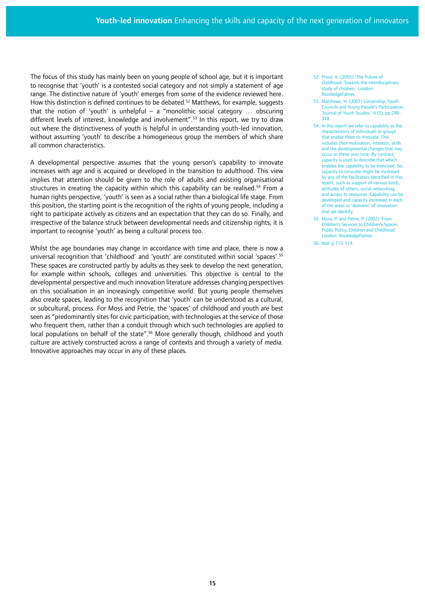The focus of this study has mainly been on young people of school age, but it is important to recognise that 'youth' is a contested social category and not simply a statement of age range. The distinctive nature of 'youth' emerges from some of the evidence reviewed here. How this distinction is defined continues to be debated.<sup>52</sup> Matthews, for example, suggests that the notion of 'youth' is unhelpful – a "monolithic social category ... obscuring different levels of interest, knowledge and involvement".53 In this report, we try to draw out where the distinctiveness of youth is helpful in understanding youth-led innovation, without assuming 'youth' to describe a homogeneous group the members of which share all common characteristics.

A developmental perspective assumes that the young person's capability to innovate increases with age and is acquired or developed in the transition to adulthood. This view implies that attention should be given to the role of adults and existing organisational structures in creating the capacity within which this capability can be realised.<sup>54</sup> From a human rights perspective, 'youth' is seen as a social rather than a biological life stage. From this position, the starting point is the recognition of the rights of young people, including a right to participate actively as citizens and an expectation that they can do so. Finally, and irrespective of the balance struck between developmental needs and citizenship rights, it is important to recognise 'youth' as being a cultural process too.

Whilst the age boundaries may change in accordance with time and place, there is now a universal recognition that 'childhood' and 'youth' are constituted within social 'spaces'.55 These spaces are constructed partly by adults as they seek to develop the next generation, for example within schools, colleges and universities. This objective is central to the developmental perspective and much innovation literature addresses changing perspectives on this socialisation in an increasingly competitive world. But young people themselves also create spaces, leading to the recognition that 'youth' can be understood as a cultural, or subcultural, process. For Moss and Petrie, the 'spaces' of childhood and youth are best seen as "predominantly sites for civic participation, with technologies at the service of those who frequent them, rather than a conduit through which such technologies are applied to local populations on behalf of the state".<sup>56</sup> More generally though, childhood and youth culture are actively constructed across a range of contexts and through a variety of media. Innovative approaches may occur in any of these places.

- 52. Prout, A. (2005) 'The Future of Childhood. Towards the interdisciplinary study of children.' London: RoutledgeFalmer.
- 53. Matthews, H. (2001) Citizenship, Youth Councils and Young People's Participation. 'Journal of Youth Studies.' 4 (3), pp.299- 318.
- 54. In this report we refer to capability as the characteristics of individuals or groups that enable them to innovate. This includes their motivation, interests, skills and the developmental changes that may occur to these over time. By contrast, capacity is used to describe that which enables the capability to be exercised. So, capacity to innovate might be increased by any of the facilitators identified in this report, such as support of various kinds, attitudes of others, social networking and access to resources. Capability can be developed and capacity increased in each of the areas or 'domains' of innovation that we identify.
- 55. Moss, P. and Petrie, P. (2002) 'From Children's Services to Children's Spaces: Public Policy, Children and Childhood.' London: RoutledgeFalmer.
- 56. Ibid. p.113-114.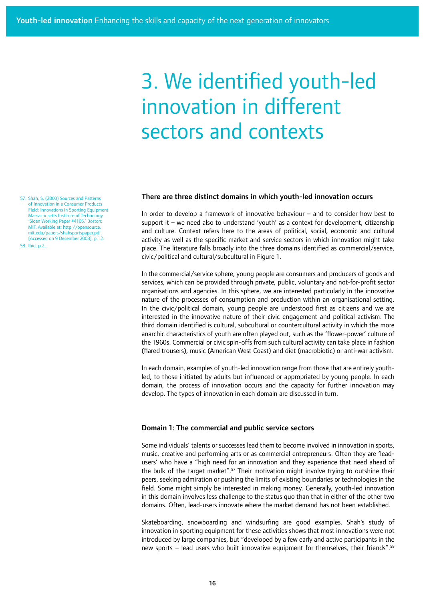## 3. We identified youth-led innovation in different sectors and contexts

#### There are three distinct domains in which youth-led innovation occurs

In order to develop a framework of innovative behaviour – and to consider how best to support it – we need also to understand 'youth' as a context for development, citizenship and culture. Context refers here to the areas of political, social, economic and cultural activity as well as the specific market and service sectors in which innovation might take place. The literature falls broadly into the three domains identified as commercial/service, civic/political and cultural/subcultural in Figure 1.

In the commercial/service sphere, young people are consumers and producers of goods and services, which can be provided through private, public, voluntary and not-for-profit sector organisations and agencies. In this sphere, we are interested particularly in the innovative nature of the processes of consumption and production within an organisational setting. In the civic/political domain, young people are understood first as citizens and we are interested in the innovative nature of their civic engagement and political activism. The third domain identified is cultural, subcultural or countercultural activity in which the more anarchic characteristics of youth are often played out, such as the 'flower-power' culture of the 1960s. Commercial or civic spin-offs from such cultural activity can take place in fashion (flared trousers), music (American West Coast) and diet (macrobiotic) or anti-war activism.

In each domain, examples of youth-led innovation range from those that are entirely youthled, to those initiated by adults but influenced or appropriated by young people. In each domain, the process of innovation occurs and the capacity for further innovation may develop. The types of innovation in each domain are discussed in turn.

#### Domain 1: The commercial and public service sectors

Some individuals' talents or successes lead them to become involved in innovation in sports, music, creative and performing arts or as commercial entrepreneurs. Often they are 'leadusers' who have a "high need for an innovation and they experience that need ahead of the bulk of the target market".<sup>57</sup> Their motivation might involve trying to outshine their peers, seeking admiration or pushing the limits of existing boundaries or technologies in the field. Some might simply be interested in making money. Generally, youth-led innovation in this domain involves less challenge to the status quo than that in either of the other two domains. Often, lead-users innovate where the market demand has not been established.

Skateboarding, snowboarding and windsurfing are good examples. Shah's study of innovation in sporting equipment for these activities shows that most innovations were not introduced by large companies, but "developed by a few early and active participants in the new sports – lead users who built innovative equipment for themselves, their friends".<sup>58</sup>

57. Shah, S. (2000) Sources and Patterns of Innovation in a Consumer Products Field: Innovations in Sporting Equipment Massachusetts Institute of Technology 'Sloan Working Paper #4105.' Boston: MIT. Available at: http://opensource. mit.edu/papers/shahsportspaper.pdf [Accessed on 9 December 2008]. p.12. 58. Ibid. p.2.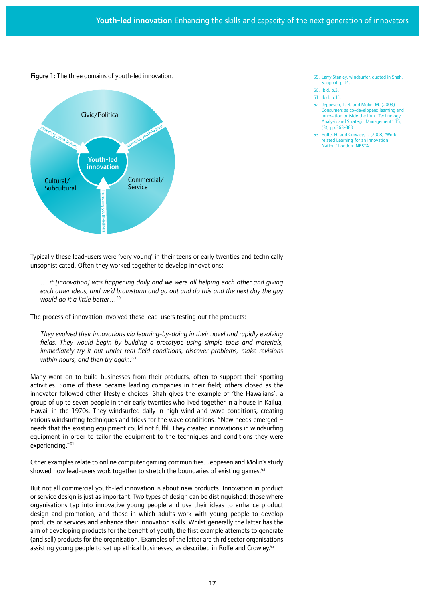Figure 1: The three domains of youth-led innovation.



Typically these lead-users were 'very young' in their teens or early twenties and technically unsophisticated. Often they worked together to develop innovations:

*… it [innovation] was happening daily and we were all helping each other and giving each other ideas, and we'd brainstorm and go out and do this and the next day the guy would do it a little better…*<sup>59</sup>

The process of innovation involved these lead-users testing out the products:

*They evolved their innovations via learning-by-doing in their novel and rapidly evolving fields. They would begin by building a prototype using simple tools and materials, immediately try it out under real field conditions, discover problems, make revisions*  within hours, and then try again.<sup>60</sup>

Many went on to build businesses from their products, often to support their sporting activities. Some of these became leading companies in their field; others closed as the innovator followed other lifestyle choices. Shah gives the example of 'the Hawaiians', a group of up to seven people in their early twenties who lived together in a house in Kailua, Hawaii in the 1970s. They windsurfed daily in high wind and wave conditions, creating various windsurfing techniques and tricks for the wave conditions. "New needs emerged – needs that the existing equipment could not fulfil. They created innovations in windsurfing equipment in order to tailor the equipment to the techniques and conditions they were experiencing."61

Other examples relate to online computer gaming communities. Jeppesen and Molin's study showed how lead-users work together to stretch the boundaries of existing games.<sup>62</sup>

But not all commercial youth-led innovation is about new products. Innovation in product or service design is just as important. Two types of design can be distinguished: those where organisations tap into innovative young people and use their ideas to enhance product design and promotion; and those in which adults work with young people to develop products or services and enhance their innovation skills. Whilst generally the latter has the aim of developing products for the benefit of youth, the first example attempts to generate (and sell) products for the organisation. Examples of the latter are third sector organisations assisting young people to set up ethical businesses, as described in Rolfe and Crowley.<sup>63</sup>

- 59. Larry Stanley, windsurfer, quoted in Shah, S. op.cit. p.14.
- 60. Ibid. p.3.
- 61. Ibid. p.11.
- 62. Jeppesen, L. B. and Molin, M. (2003) Consumers as co-developers: learning and innovation outside the firm. 'Technology Analysis and Strategic Management.' 15, (3), pp.363-383.
- 63. Rolfe, H. and Crowley, T. (2008) 'Workrelated Learning for an Innovation Nation.' London: NESTA.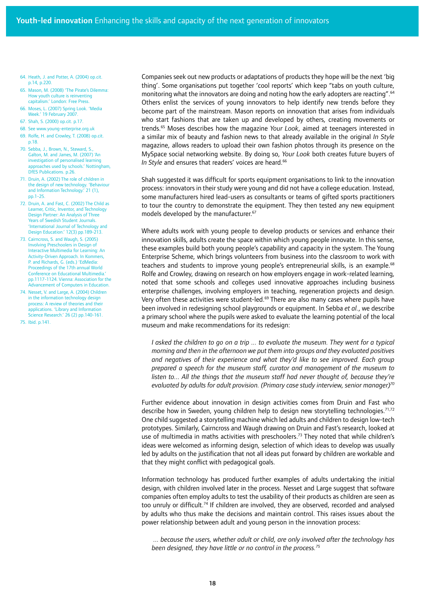- 64. Heath, J. and Potter, A. (2004) op.cit. p.14, p.220.
- 65. Mason, M. (2008) 'The Pirate's Dilemma: How youth culture is reinventing capitalism.' London: Free Press.
- 66. Moses, L. (2007) Spring Look. 'Media Week.' 19 February 2007.
- 67. Shah, S. (2000) op.cit. p.17.
- 68. See www.young-enterprise.org.uk
- 69. Rolfe, H. and Crowley, T. (2008) op.cit. p.18.
- 70. Sebba, J., Brown, N., Steward, S., Galton, M. and James, M. (2007) 'An investigation of personalised learning approaches used by schools.' Nottingham, DfES Publications. p.26.
- 71. Druin, A. (2002) The role of children in the design of new technology. 'Behaviour and Information Technology.' 21 (1), pp.1-25.
- 72. Druin, A. and Fast, C. (2002) The Child as Learner, Critic, Inventor, and Technology Design Partner: An Analysis of Three Years of Swedish Student Journals. 'International Journal of Technology and Design Education.' 12(3) pp.189-213.
- 73. Cairncross, S. and Waugh, S. (2005) Involving Preschoolers in Design of Interactive Multimedia for Learning: An Activity-Driven Approach. In Kommers, P. and Richards, G. (eds.) 'EdMedia: Proceedings of the 17th annual World Conference on Educational Multimedia.' pp.1117-1124. Vienna: Association for the Advancement of Computers in Education.
- 74. Nesset, V. and Large, A. (2004) Children in the information technology design process: A review of theories and their applications. 'Library and Information Science Research.' 26 (2) pp.140-161.
- 75. Ibid. p.141.

Companies seek out new products or adaptations of products they hope will be the next 'big thing'. Some organisations put together 'cool reports' which keep "tabs on youth culture, monitoring what the innovators are doing and noting how the early adopters are reacting".<sup>64</sup> Others enlist the services of young innovators to help identify new trends before they become part of the mainstream. Mason reports on innovation that arises from individuals who start fashions that are taken up and developed by others, creating movements or trends.65 Moses describes how the magazine *Your Look*, aimed at teenagers interested in a similar mix of beauty and fashion news to that already available in the original *In Style*  magazine, allows readers to upload their own fashion photos through its presence on the MySpace social networking website. By doing so, *Your Look* both creates future buyers of In Style and ensures that readers' voices are heard.<sup>66</sup>

Shah suggested it was difficult for sports equipment organisations to link to the innovation process: innovators in their study were young and did not have a college education. Instead, some manufacturers hired lead-users as consultants or teams of gifted sports practitioners to tour the country to demonstrate the equipment. They then tested any new equipment models developed by the manufacturer.<sup>67</sup>

Where adults work with young people to develop products or services and enhance their innovation skills, adults create the space within which young people innovate. In this sense, these examples build both young people's capability and capacity in the system. The Young Enterprise Scheme, which brings volunteers from business into the classroom to work with teachers and students to improve young people's entrepreneurial skills, is an example.<sup>68</sup> Rolfe and Crowley, drawing on research on how employers engage in work-related learning, noted that some schools and colleges used innovative approaches including business enterprise challenges, involving employers in teaching, regeneration projects and design. Very often these activities were student-led. $69$  There are also many cases where pupils have been involved in redesigning school playgrounds or equipment. In Sebba *et al.*, we describe a primary school where the pupils were asked to evaluate the learning potential of the local museum and make recommendations for its redesign:

*I* asked the children to go on a trip ... to evaluate the museum. They went for a typical *morning and then in the afternoon we put them into groups and they evaluated positives and negatives of their experience and what they'd like to see improved. Each group prepared a speech for the museum staff, curator and management of the museum to*  listen to... All the things that the museum staff had never thought of, because they're *evaluated by adults for adult provision. (Primary case study interview, senior manager)70*

Further evidence about innovation in design activities comes from Druin and Fast who describe how in Sweden, young children help to design new storytelling technologies.<sup>71,72</sup> One child suggested a storytelling machine which led adults and children to design low-tech prototypes. Similarly, Cairncross and Waugh drawing on Druin and Fast's research, looked at use of multimedia in maths activities with preschoolers.<sup>73</sup> They noted that while children's ideas were welcomed as informing design, selection of which ideas to develop was usually led by adults on the justification that not all ideas put forward by children are workable and that they might conflict with pedagogical goals.

Information technology has produced further examples of adults undertaking the initial design, with children involved later in the process. Nesset and Large suggest that software companies often employ adults to test the usability of their products as children are seen as too unruly or difficult.<sup>74</sup> If children are involved, they are observed, recorded and analysed by adults who thus make the decisions and maintain control. This raises issues about the power relationship between adult and young person in the innovation process:

 *... because the users, whether adult or child, are only involved after the technology has been designed, they have little or no control in the process.75*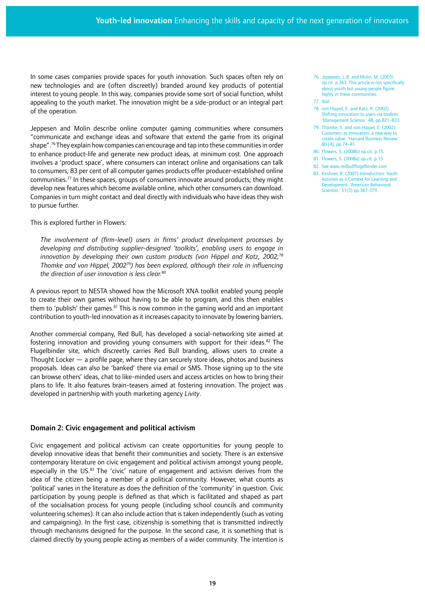In some cases companies provide spaces for youth innovation. Such spaces often rely on new technologies and are (often discreetly) branded around key products of potential interest to young people. In this way, companies provide some sort of social function, whilst appealing to the youth market. The innovation might be a side-product or an integral part of the operation.

Jeppesen and Molin describe online computer gaming communities where consumers "communicate and exchange ideas and software that extend the game from its original shape".76 They explain how companies can encourage and tap into these communities in order to enhance product-life and generate new product ideas, at minimum cost. One approach involves a 'product space', where consumers can interact online and organisations can talk to consumers; 83 per cent of all computer games products offer producer-established online communities.<sup>77</sup> In these spaces, groups of consumers innovate around products; they might develop new features which become available online, which other consumers can download. Companies in turn might contact and deal directly with individuals who have ideas they wish to pursue further.

This is explored further in Flowers:

*The involvement of (firm-level) users in firms' product development processes by developing and distributing supplier-designed 'toolkits', enabling users to engage in innovation by developing their own custom products (von Hippel and Katz, 2002;*<sup>78</sup> *Thomke and von Hippel, 2002*79*) has been explored, although their role in influencing the direction of user innovation is less clear.*<sup>80</sup>

A previous report to NESTA showed how the Microsoft XNA toolkit enabled young people to create their own games without having to be able to program, and this then enables them to 'publish' their games.<sup>81</sup> This is now common in the gaming world and an important contribution to youth-led innovation as it increases capacity to innovate by lowering barriers.

Another commercial company, Red Bull, has developed a social-networking site aimed at fostering innovation and providing young consumers with support for their ideas.<sup>82</sup> The Flugelbinder site, which discreetly carries Red Bull branding, allows users to create a Thought Locker — a profile page, where they can securely store ideas, photos and business proposals. Ideas can also be 'banked' there via email or SMS. Those signing up to the site can browse others' ideas, chat to like-minded users and access articles on how to bring their plans to life. It also features brain-teasers aimed at fostering innovation. The project was developed in partnership with youth marketing agency *Livity*.

## Domain 2: Civic engagement and political activism

Civic engagement and political activism can create opportunities for young people to develop innovative ideas that benefit their communities and society. There is an extensive contemporary literature on civic engagement and political activism amongst young people, especially in the US.<sup>83</sup> The 'civic' nature of engagement and activism derives from the idea of the citizen being a member of a political community. However, what counts as 'political' varies in the literature as does the definition of the 'community' in question. Civic participation by young people is defined as that which is facilitated and shaped as part of the socialisation process for young people (including school councils and community volunteering schemes). It can also include action that is taken independently (such as voting and campaigning). In the first case, citizenship is something that is transmitted indirectly through mechanisms designed for the purpose. In the second case, it is something that is claimed directly by young people acting as members of a wider community. The intention is 76. Jeppesen, L.B. and Molin, M. (2003) op.cit. p.363. This article is not specifically about youth but young people figure highly in these communities.

- 78. von Hippel, E. and Katz, R. (2002) Shifting innovation to users via toolkits. 'Management Science.' 48, pp.821–833.
- 79. Thomke, S. and von Hippel, E. (2002) Customers as innovators: a new way to create value. 'Harvard Business Review.' 80 (4), pp.74–81.
- 80. Flowers, S. (2008b) op.cit. p.15.
- 81. Flowers, S. (2008a) op.cit. p.15.
- 82. See www.redbullflugelbinder.com 83. Kirshner, B. (2007) Introduction: Youth Activism as a Context for Learning and Development. 'American Behavioral Scientist.' 51(3) pp.367-379.

<sup>77.</sup> Ibid.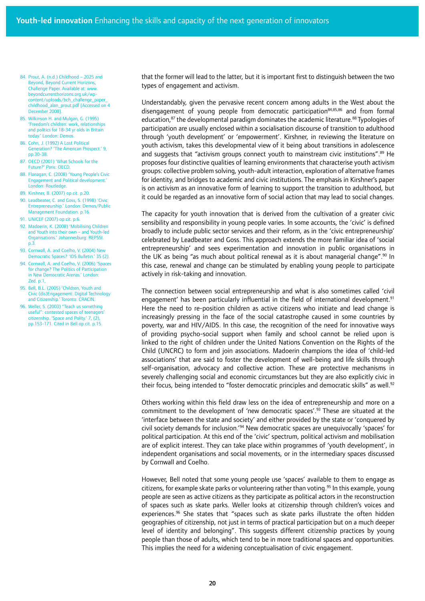- 84. Prout, A. (n.d.) Childhood 2025 and Beyond, Beyond Current Horizons, Challenge Paper. Available at: www. beyondcurrenthorizons.org.uk/wpcontent/uploads/bch\_challenge\_pap childhood\_alan\_prout.pdf [Accessed on 4 December 2008].
- 85. Wilkinson H. and Mulgan, G. (1995) 'Freedom's children: work, relationships and politics for 18-34 yr olds in Britain today.' London: Demos.
- 86. Cohn, J. (1992) A Lost Political Generation? 'The American Prospect.' 9, pp.30-38.
- 87. OECD (2001) 'What Schools for the Future?' Paris: OECD.
- 88. Flanagan, C. (2008) 'Young People's Civic Engagement and Political development.' London: Routledge.
- 89. Kirshner, B. (2007) op.cit. p.20.
- 90. Leadbeater, C. and Goss, S. (1998) 'Civic Entrepreneurship.' London: Demos/Public Management Foundation. p.16.
- 91. UNICEF (2007) op.cit. p.6.
- 92. Madoerin, K. (2008) 'Mobilising Children and Youth into their own – and Youth-led Organisations.' Johannesburg: REPSSI.  $p.\overline{3}$
- 93. Cornwall, A. and Coelho, V. (2004) New Democratic Spaces? 'IDS Bulletin.' 35 (2).
- 94. Cornwall, A. and Coelho, V. (2006) 'Spaces for change? The Politics of Participation in New Democratic Arenas.' London: Zed. p.1,
- 95. Bell, B.L. (2005) 'Children, Youth and Civic (dis)Engagement: Digital Technology and Citizenship.' Toronto: CRACIN.
- 96. Weller, S. (2003) "Teach us something useful": contested spaces of teenagers' citizenship. 'Space and Polity.' 7, (2), pp.153-171. Cited in Bell op.cit. p.15.

that the former will lead to the latter, but it is important first to distinguish between the two types of engagement and activism.

Understandably, given the pervasive recent concern among adults in the West about the disengagement of young people from democratic participation<sup>84,85,86</sup> and from formal education, $^{87}$  the developmental paradigm dominates the academic literature. $^{88}$  Typologies of participation are usually enclosed within a socialisation discourse of transition to adulthood through 'youth development' or 'empowerment'. Kirshner, in reviewing the literature on youth activism, takes this developmental view of it being about transitions in adolescence and suggests that "activism groups connect youth to mainstream civic institutions". $89$  He proposes four distinctive qualities of learning environments that characterise youth activism groups: collective problem solving, youth-adult interaction, exploration of alternative frames for identity, and bridges to academic and civic institutions. The emphasis in Kirshner's paper is on activism as an innovative form of learning to support the transition to adulthood, but it could be regarded as an innovative form of social action that may lead to social changes.

The capacity for youth innovation that is derived from the cultivation of a greater civic sensibility and responsibility in young people varies. In some accounts, the 'civic' is defined broadly to include public sector services and their reform, as in the 'civic entrepreneurship' celebrated by Leadbeater and Goss. This approach extends the more familiar idea of 'social entrepreneurship' and sees experimentation and innovation in public organisations in the UK as being "as much about political renewal as it is about managerial change".<sup>90</sup> In this case, renewal and change can be stimulated by enabling young people to participate actively in risk-taking and innovation.

The connection between social entrepreneurship and what is also sometimes called 'civil engagement' has been particularly influential in the field of international development.<sup>91</sup> Here the need to re-position children as active citizens who initiate and lead change is increasingly pressing in the face of the social catastrophe caused in some countries by poverty, war and HIV/AIDS. In this case, the recognition of the need for innovative ways of providing psycho-social support when family and school cannot be relied upon is linked to the right of children under the United Nations Convention on the Rights of the Child (UNCRC) to form and join associations. Madoerin champions the idea of 'child-led associations' that are said to foster the development of well-being and life skills through self-organisation, advocacy and collective action. These are protective mechanisms in severely challenging social and economic circumstances but they are also explicitly civic in their focus, being intended to "foster democratic principles and democratic skills" as well.<sup>92</sup>

Others working within this field draw less on the idea of entrepreneurship and more on a commitment to the development of 'new democratic spaces'.<sup>93</sup> These are situated at the 'interface between the state and society' and either provided by the state or 'conquered by civil society demands for inclusion.'94 New democratic spaces are unequivocally 'spaces' for political participation. At this end of the 'civic' spectrum, political activism and mobilisation are of explicit interest. They can take place within programmes of 'youth development', in independent organisations and social movements, or in the intermediary spaces discussed by Cornwall and Coelho.

However, Bell noted that some young people use 'spaces' available to them to engage as citizens, for example skate parks or volunteering rather than voting.<sup>95</sup> In this example, young people are seen as active citizens as they participate as political actors in the reconstruction of spaces such as skate parks. Weller looks at citizenship through children's voices and experiences.<sup>96</sup> She states that "spaces such as skate parks illustrate the often hidden geographies of citizenship, not just in terms of practical participation but on a much deeper level of identity and belonging". This suggests different citizenship practices by young people than those of adults, which tend to be in more traditional spaces and opportunities. This implies the need for a widening conceptualisation of civic engagement.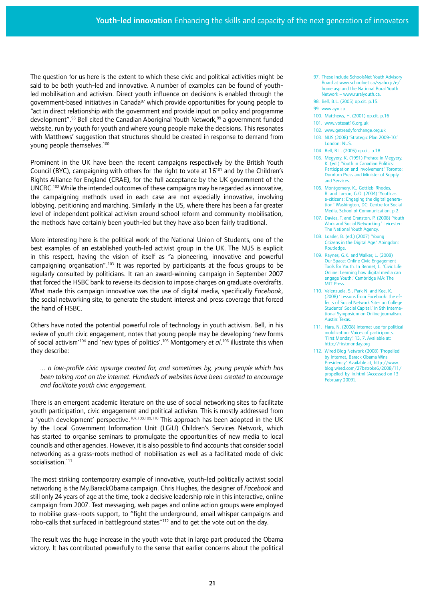The question for us here is the extent to which these civic and political activities might be said to be both youth-led and innovative. A number of examples can be found of youthled mobilisation and activism. Direct youth influence on decisions is enabled through the government-based initiatives in Canada<sup>97</sup> which provide opportunities for young people to "act in direct relationship with the government and provide input on policy and programme development".<sup>98</sup> Bell cited the Canadian Aboriginal Youth Network,<sup>99</sup> a government funded website, run by youth for youth and where young people make the decisions. This resonates with Matthews' suggestion that structures should be created in response to demand from young people themselves.100

Prominent in the UK have been the recent campaigns respectively by the British Youth Council (BYC), campaigning with others for the right to vote at 16<sup>101</sup> and by the Children's Rights Alliance for England (CRAE), for the full acceptance by the UK government of the  $UNCRC<sup>102</sup>$  While the intended outcomes of these campaigns may be regarded as innovative, the campaigning methods used in each case are not especially innovative, involving lobbying, petitioning and marching. Similarly in the US, where there has been a far greater level of independent political activism around school reform and community mobilisation, the methods have certainly been youth-led but they have also been fairly traditional.

More interesting here is the political work of the National Union of Students, one of the best examples of an established youth-led activist group in the UK. The NUS is explicit in this respect, having the vision of itself as "a pioneering, innovative and powerful campaigning organisation".<sup>103</sup> It was reported by participants at the focus groups to be regularly consulted by politicians. It ran an award-winning campaign in September 2007 that forced the HSBC bank to reverse its decision to impose charges on graduate overdrafts. What made this campaign innovative was the use of digital media, specifically *Facebook*, the social networking site, to generate the student interest and press coverage that forced the hand of HSBC.

Others have noted the potential powerful role of technology in youth activism. Bell, in his review of youth civic engagement, notes that young people may be developing 'new forms of social activism'104 and 'new types of politics'.105 Montgomery *et al*. 106 illustrate this when they describe:

*... a low-profile civic upsurge created for, and sometimes by, young people which has been taking root on the internet. Hundreds of websites have been created to encourage and facilitate youth civic engagement.* 

There is an emergent academic literature on the use of social networking sites to facilitate youth participation, civic engagement and political activism. This is mostly addressed from a 'youth development' perspective.<sup>107,108,109,110</sup> This approach has been adopted in the UK by the Local Government Information Unit (LGiU) Children's Services Network, which has started to organise seminars to promulgate the opportunities of new media to local councils and other agencies. However, it is also possible to find accounts that consider social networking as a grass-roots method of mobilisation as well as a facilitated mode of civic socialisation.<sup>111</sup>

The most striking contemporary example of innovative, youth-led politically activist social networking is the My.BarackObama campaign. Chris Hughes, the designer of *Facebook* and still only 24 years of age at the time, took a decisive leadership role in this interactive, online campaign from 2007. Text messaging, web pages and online action groups were employed to mobilise grass-roots support, to "fight the underground, email whisper campaigns and robo-calls that surfaced in battleground states"112 and to get the vote out on the day.

The result was the huge increase in the youth vote that in large part produced the Obama victory. It has contributed powerfully to the sense that earlier concerns about the political

- 97. These include SchoolsNet Youth Advisory Board at www.schoolnet.ca/syabccjr/e/ home.asp and the National Rural Youth Network – www.ruralyouth.ca.
- 98. Bell, B.L. (2005) op.cit. p.15.
- 99. www.ayn.ca
- 100. Matthews, H. (2001) op.cit. p.16
- 101. www.votesat16.org.uk
- 102. www.getreadyforchange.org.uk
- 103. NUS (2008) 'Strategic Plan 2009-10.' London: NUS.
- 104. Bell, B.L. (2005) op.cit. p.18
- 105. Megyery, K. (1991) Preface in Megyery, K. (ed.) 'Youth in Canadian Politics: Participation and Involvement.' Toronto: Dundurn Press and Minister of Supply and Services.
- 106. Montgomery, K., Gottleb-Rhodes B. and Larson, G.O. (2004) 'Youth as e-citizens: Engaging the digital generation.' Washington, DC: Centre for Social Media, School of Communication. p.2.
- 107. Davies, T. and Cranston, P. (2008) 'Youth Work and Social Networking.' Leicester: The National Youth Agency.
- 108. Loader, B. (ed.) (2007) 'Young Citizens in the Digital Age.' Abingdon: **Routledge**
- 109. Raynes, G.K. and Walker, L. (2008) Our Space: Online Civic Engagement Tools for Youth. In Bennet, L. 'Civic Life Online: Learning how digital media can engage Youth.' Cambridge MA: The **MIT Press.**
- 110. Valenzuela. S., Park N. and Kee, K. (2008) 'Lessons from Facebook: the effects of Social Network Sites on College Students' Social Capital.' In 9th International Symposium on Online journalism. Austin: Texas.
- 111. Hara, N. (2008) Internet use for political mobilization: Voices of participants. 'First Monday.' 13, 7. Available at: http://firstmonday.org
- 112. Wired Blog Network (2008) 'Propelled by Internet, Barack Obama Wins Presidency.' Available at; http://www. blog.wired.com/27bstroke6/2008/11/ propelled-by-in.html [Accessed on 13 February 2009].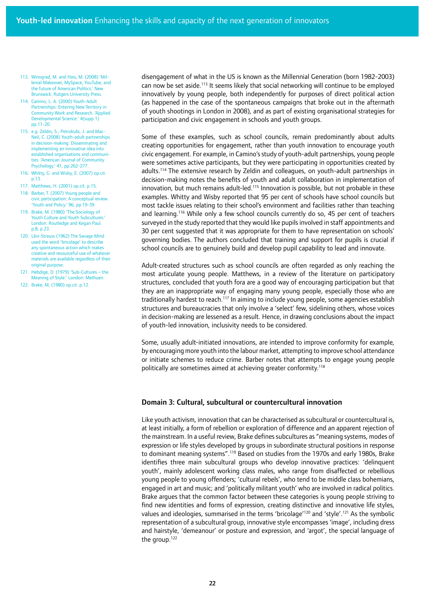- 113. Winograd, M. and Hais, M. (2008) 'Millenial Makeover, MySpace, YouTube, and the future of American Politics.' New Brunswick: Rutgers University Press.
- 114. Camino, L. A. (2000) Youth-Adult Partnerships: Entering New Territory in Community Work and Research. 'Applied Developmental Science.' 4(supp 1) pp.11-20.
- 115. e.g. Zeldin, S., Petrokubi, J. and Mac-Neil, C. (2008) Youth-adult partnerships in decision-making: Disseminating and implementing an innovative idea into established organisations and communities. 'American Journal of Community Psychology.' 41, pp.262-277.
- 116. Whitty, G. and Wisby, E. (2007) op.cit. p.13.
- 117. Matthews, H. (2001) op.cit. p.15.
- 118. Barber, T. (2007) Young people and civic participation: A conceptual review. 'Youth and Policy.' 96, pp.19-39.
- 119. Brake, M. (1980) 'The Sociology of Youth Culture and Youth Subcultures.' London: Routledge and Kegan Paul. p.8; p.23.
- 120. Lévi-Strauss (1962) The Savage Mind used the word 'bricolage' to describe any spontaneous action which makes creative and resourceful use of whatever materials are available regardless of their original purpose.
- 121. Hebdige, D. (1979) 'Sub-Cultures the Meaning of Style.' London: Methuen.
- 122. Brake, M. (1980) op.cit. p.12.

disengagement of what in the US is known as the Millennial Generation (born 1982-2003) can now be set aside.<sup>113</sup> It seems likely that social networking will continue to be employed innovatively by young people, both independently for purposes of direct political action (as happened in the case of the spontaneous campaigns that broke out in the aftermath of youth shootings in London in 2008), and as part of existing organisational strategies for participation and civic engagement in schools and youth groups.

Some of these examples, such as school councils, remain predominantly about adults creating opportunities for engagement, rather than youth innovation to encourage youth civic engagement. For example, in Camino's study of youth-adult partnerships, young people were sometimes active participants, but they were participating in opportunities created by adults.114 The extensive research by Zeldin and colleagues, on youth-adult partnerships in decision-making notes the benefits of youth and adult collaboration in implementation of innovation, but much remains adult-led.<sup>115</sup> Innovation is possible, but not probable in these examples. Whitty and Wisby reported that 95 per cent of schools have school councils but most tackle issues relating to their school's environment and facilities rather than teaching and learning.<sup>116</sup> While only a few school councils currently do so, 45 per cent of teachers surveyed in the study reported that they would like pupils involved in staff appointments and 30 per cent suggested that it was appropriate for them to have representation on schools' governing bodies. The authors concluded that training and support for pupils is crucial if school councils are to genuinely build and develop pupil capability to lead and innovate.

Adult-created structures such as school councils are often regarded as only reaching the most articulate young people. Matthews, in a review of the literature on participatory structures, concluded that youth fora are a good way of encouraging participation but that they are an inappropriate way of engaging many young people, especially those who are traditionally hardest to reach.<sup>117</sup> In aiming to include young people, some agencies establish structures and bureaucracies that only involve a 'select' few, sidelining others, whose voices in decision-making are lessened as a result. Hence, in drawing conclusions about the impact of youth-led innovation, inclusivity needs to be considered.

Some, usually adult-initiated innovations, are intended to improve conformity for example, by encouraging more youth into the labour market, attempting to improve school attendance or initiate schemes to reduce crime. Barber notes that attempts to engage young people politically are sometimes aimed at achieving greater conformity.<sup>118</sup>

## Domain 3: Cultural, subcultural or countercultural innovation

Like youth activism, innovation that can be characterised as subcultural or countercultural is, at least initially, a form of rebellion or exploration of difference and an apparent rejection of the mainstream. In a useful review, Brake defines subcultures as "meaning systems, modes of expression or life styles developed by groups in subordinate structural positions in response to dominant meaning systems".<sup>119</sup> Based on studies from the 1970s and early 1980s, Brake identifies three main subcultural groups who develop innovative practices: 'delinquent youth', mainly adolescent working class males, who range from disaffected or rebellious young people to young offenders; 'cultural rebels', who tend to be middle class bohemians, engaged in art and music; and 'politically militant youth' who are involved in radical politics. Brake argues that the common factor between these categories is young people striving to find new identities and forms of expression, creating distinctive and innovative life styles, values and ideologies, summarised in the terms 'bricolage'<sup>120</sup> and 'style'.<sup>121</sup> As the symbolic representation of a subcultural group, innovative style encompasses 'image', including dress and hairstyle, 'demeanour' or posture and expression, and 'argot', the special language of the group. $122$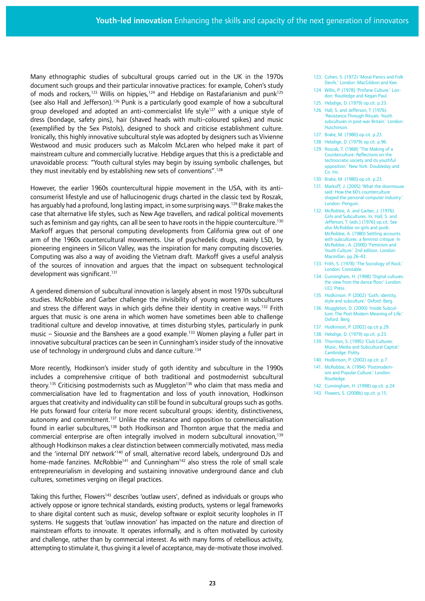Many ethnographic studies of subcultural groups carried out in the UK in the 1970s document such groups and their particular innovative practices: for example, Cohen's study of mods and rockers,<sup>123</sup> Willis on hippies,<sup>124</sup> and Hebdige on Rastafarianism and punk<sup>125</sup> (see also Hall and Jefferson).<sup>126</sup> Punk is a particularly good example of how a subcultural group developed and adopted an anti-commercialist life style<sup>127</sup> with a unique style of dress (bondage, safety pins), hair (shaved heads with multi-coloured spikes) and music (exemplified by the Sex Pistols), designed to shock and criticise establishment culture. Ironically, this highly innovative subcultural style was adopted by designers such as Vivienne Westwood and music producers such as Malcolm McLaren who helped make it part of mainstream culture and commercially lucrative. Hebdige argues that this is a predictable and unavoidable process: "Youth cultural styles may begin by issuing symbolic challenges, but they must inevitably end by establishing new sets of conventions".128

However, the earlier 1960s countercultural hippie movement in the USA, with its anticonsumerist lifestyle and use of hallucinogenic drugs charted in the classic text by Roszak, has arguably had a profound, long lasting impact, in some surprising ways.<sup>129</sup> Brake makes the case that alternative life styles, such as New Age travellers, and radical political movements such as feminism and gay rights, can all be seen to have roots in the hippie counterculture.<sup>130</sup> Markoff argues that personal computing developments from California grew out of one arm of the 1960s countercultural movements. Use of psychedelic drugs, mainly LSD, by pioneering engineers in Silicon Valley, was the inspiration for many computing discoveries. Computing was also a way of avoiding the Vietnam draft. Markoff gives a useful analysis of the sources of innovation and argues that the impact on subsequent technological development was significant.<sup>131</sup>

A gendered dimension of subcultural innovation is largely absent in most 1970s subcultural studies. McRobbie and Garber challenge the invisibility of young women in subcultures and stress the different ways in which girls define their identity in creative ways.<sup>132</sup> Frith argues that music is one arena in which women have sometimes been able to challenge traditional culture and develop innovative, at times disturbing styles, particularly in punk music – Siouxsie and the Banshees are a good example.<sup>133</sup> Women playing a fuller part in innovative subcultural practices can be seen in Cunningham's insider study of the innovative use of technology in underground clubs and dance culture.<sup>134</sup>

More recently, Hodkinson's insider study of goth identity and subculture in the 1990s includes a comprehensive critique of both traditional and postmodernist subcultural theory.<sup>135</sup> Criticising postmodernists such as Muggleton<sup>136</sup> who claim that mass media and commercialisation have led to fragmentation and loss of youth innovation, Hodkinson argues that creativity and individuality can still be found in subcultural groups such as goths. He puts forward four criteria for more recent subcultural groups: identity, distinctiveness, autonomy and commitment.<sup>137</sup> Unlike the resistance and opposition to commercialisation found in earlier subcultures,<sup>138</sup> both Hodkinson and Thornton argue that the media and commercial enterprise are often integrally involved in modern subcultural innovation,139 although Hodkinson makes a clear distinction between commercially motivated, mass media and the 'internal DIY network<sup>'140</sup> of small, alternative record labels, underground DJs and home-made fanzines. McRobbie<sup>141</sup> and Cunningham<sup>142</sup> also stress the role of small scale entrepreneurialism in developing and sustaining innovative underground dance and club cultures, sometimes verging on illegal practices.

Taking this further, Flowers<sup>143</sup> describes 'outlaw users', defined as individuals or groups who actively oppose or ignore technical standards, existing products, systems or legal frameworks to share digital content such as music, develop software or exploit security loopholes in IT systems. He suggests that 'outlaw innovation' has impacted on the nature and direction of mainstream efforts to innovate. It operates informally, and is often motivated by curiosity and challenge, rather than by commercial interest. As with many forms of rebellious activity, attempting to stimulate it, thus giving it a level of acceptance, may de-motivate those involved.

- 123. Cohen, S. (1972) 'Moral Panics and Folk Devils.' London: MacGibbon and Kee.
- 124. Willis, P. (1978) 'Profane Culture.' London: Routledge and Kegan Paul.
- 125. Hebdige, D. (1979) op.cit. p.23.
- 126. Hall, S. and Jefferson, T. (1976) 'Resistance Through Rituals: Youth subcultures in post-war Britain.' London: Hutchinson.
- 127. Brake, M. (1980) op.cit. p.23.
- 128. Hebdige, D. (1979) op.cit. p.96.
- 129. Roszak, T. (1968) 'The Making of a Counterculture: Reflections on the technocratic society and its youthful opposition.' New York: Doubleday and Co. Inc.
- 130. Brake, M. (1980) op.cit. p.23.
- 131. Markoff, J. (2005) 'What the doormouse said: How the 60's counterculture shaped the personal computer industry.' London: Penguin.
- 132. McRobbie, A. and Garber, J. (1976) Girls and Subcultures. In, Hall, S. and Jefferson, T. (eds.) (1976) op.cit. See also McRobbie on girls and punk: McRobbie, A. (1980) Settling accounts with subcultures: a feminist critique. In McRobbie., A. (2000) 'Feminism and Youth Culture.' 2nd edition. London: Macmillan. pp.26-43.
- 133. Frith, S. (1978) 'The Sociology of Rock.' London: Constable.
- 134. Cunningham, H. (1998) 'Digital cultures: the view from the dance floor.' London: UCL Press.
- 135. Hodkinson. P. (2002) 'Goth, identity, style and subculture.' Oxford: Berg.
- 136. Muggleton, D. (2000) 'Inside Subculture: The Post Modern Meaning of Life.' Oxford: Berg.
- 137. Hodkinson, P. (2002) op.cit p.29.
- 138. Hebdige, D. (1979) op.cit. p.23.
- 139. Thornton, S. (1995) 'Club Cultures: Music, Media and Subcultural Capital.' Cambridge: Polity.
- 140. Hodkinson, P. (2002) op.cit. p.7. 141. McRobbie, A. (1994) 'Postmodernism and Popular Culture.' London: Routledge.
- 142. Cunningham, H. (1998) op.cit. p.24.
- 143. Flowers, S. (2008b) op.cit. p.15.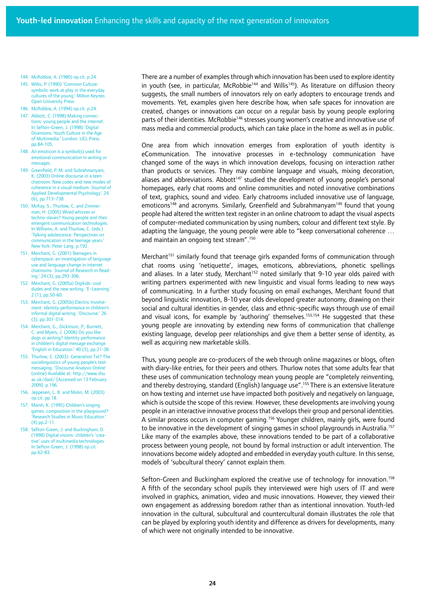- 144. McRobbie, A. (1980) op.cit. p.24.
- 145. Willis, P. (1990) 'Common Culture: symbolic work at play in the everyday cultures of the young.' Milton Keynes: Open University Press.
- 146. McRobbie, A. (1994) op.cit. p.24.
- 147. Abbott, C. (1998) Making connections: young people and the internet. In Sefton-Green, J. (1998) 'Digital Diversions: Youth Culture in the Age of Multimedia.' London: UCL Press. pp.84-105.
- 148. An emoticon is a symbol(s) used for emotional communication in writing or messages.
- 149. Greenfield, P. M. and Subrahmanyam, K. (2003) Online discourse in a teen chatroom: New codes and new modes of coherence in a visual medium. Journal of Applied Developmental Psychology.' 24 (6), pp.713–738.
- 150. McKay, S., Thurlow, C. and Zimmer man, H. (2005) Wired whizzes or techno-slaves? Young people and their emergent communication technologies. In Williams, A. and Thurlow, C. (eds.) 'Talking adolescence: Perspectives on communication in the teenage years.' New York: Peter Lang. p.192.
- 151. Merchant, G. (2001) Teenagers in cyberspace: an investigation of language use and language change in internet chatrooms. 'Journal of Research in Reading.' 24 (3), pp.293-306.
- 152. Merchant, G. (2005a) Digikids: cool dudes and the new writing. 'E–Learning.' 2 (1), pp.50-60.
- 153. Merchant, G. (2005b) Electric Involvement: Identity performance in children's informal digital writing. 'Discourse.' 26 (3), pp.301-314.
- 154. Merchant, G., Dickinson, P., Burnett, C. and Myers, J. (2006) Do you like dogs or writing? Identity performance in children's digital message exchange. 'English in Education.' 40 (3), pp.21-38.
- 155. Thurlow, C. (2003). Generation Txt? The sociolinguistics of young people's textmessaging. 'Discourse Analysis Online' (online) Available at: http://www.shu. ac.uk/daol/ [Accessed on 13 February 2009]. p.196.
- 156. Jeppesen, L. B. and Molin, M. (2003) op.cit. pp.18.
- 157. Marsh, K. (1995) Children's singing games: composition in the playground? 'Research Studies in Music Education.' (4) pp.2-11.
- 158. Sefton-Green, J. and Buckingham, D. (1998) Digital visions: children's 'creative' uses of multimedia technologies In Sefton-Green, J. (1998) op.cit. pp.62-83.

There are a number of examples through which innovation has been used to explore identity in youth (see, in particular, McRobbie<sup>144</sup> and Willis<sup>145</sup>). As literature on diffusion theory suggests, the small numbers of innovators rely on early adopters to encourage trends and movements. Yet, examples given here describe how, when safe spaces for innovation are created, changes or innovations can occur on a regular basis by young people exploring parts of their identities. McRobbie<sup>146</sup> stresses young women's creative and innovative use of mass media and commercial products, which can take place in the home as well as in public.

One area from which innovation emerges from exploration of youth identity is eCommunication. The innovative processes in e-technology communication have changed some of the ways in which innovation develops, focusing on interaction rather than products or services. They may combine language and visuals, mixing decoration, aliases and abbreviations. Abbott<sup>147</sup> studied the development of young people's personal homepages, early chat rooms and online communities and noted innovative combinations of text, graphics, sound and video. Early chatrooms included innovative use of language, emoticons<sup>148</sup> and acronyms. Similarly, Greenfield and Subrahmanyam<sup>149</sup> found that young people had altered the written text register in an online chatroom to adapt the visual aspects of computer-mediated communication by using numbers, colour and different text style. By adapting the language, the young people were able to "keep conversational coherence … and maintain an ongoing text stream".150

Merchant<sup>151</sup> similarly found that teenage girls expanded forms of communication through chat rooms using 'netiquette', images, emoticons, abbreviations, phonetic spellings and aliases. In a later study, Merchant<sup>152</sup> noted similarly that 9-10 year olds paired with writing partners experimented with new linguistic and visual forms leading to new ways of communicating. In a further study focusing on email exchanges, Merchant found that beyond linguistic innovation, 8-10 year olds developed greater autonomy, drawing on their social and cultural identities in gender, class and ethnic-specific ways through use of email and visual icons, for example by 'authoring' themselves.<sup>153,154</sup> He suggested that these young people are innovating by extending new forms of communication that challenge existing language, develop peer relationships and give them a better sense of identity, as well as acquiring new marketable skills.

Thus, young people are co-producers of the web through online magazines or blogs, often with diary-like entries, for their peers and others. Thurlow notes that some adults fear that these uses of communication technology mean young people are "completely reinventing, and thereby destroying, standard (English) language use".<sup>155</sup> There is an extensive literature on how texting and internet use have impacted both positively and negatively on language, which is outside the scope of this review. However, these developments are involving young people in an interactive innovative process that develops their group and personal identities. A similar process occurs in computer gaming.<sup>156</sup> Younger children, mainly girls, were found to be innovative in the development of singing games in school playgrounds in Australia.<sup>157</sup> Like many of the examples above, these innovations tended to be part of a collaborative process between young people, not bound by formal instruction or adult intervention. The innovations become widely adopted and embedded in everyday youth culture. In this sense, models of 'subcultural theory' cannot explain them.

Sefton-Green and Buckingham explored the creative use of technology for innovation.<sup>158</sup> A fifth of the secondary school pupils they interviewed were high users of IT and were involved in graphics, animation, video and music innovations. However, they viewed their own engagement as addressing boredom rather than as intentional innovation. Youth-led innovation in the cultural, subcultural and countercultural domain illustrates the role that can be played by exploring youth identity and difference as drivers for developments, many of which were not originally intended to be innovative.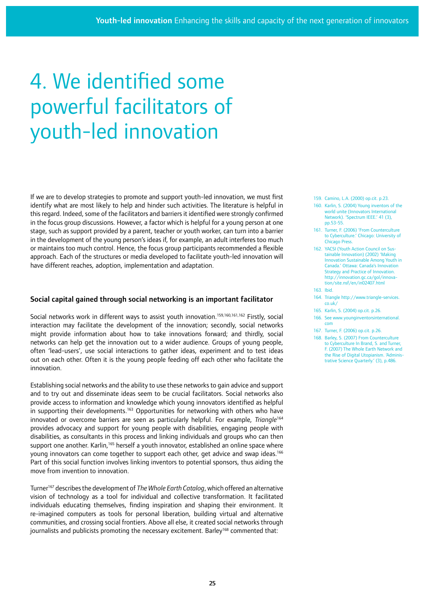# 4. We identified some powerful facilitators of youth-led innovation

If we are to develop strategies to promote and support youth-led innovation, we must first identify what are most likely to help and hinder such activities. The literature is helpful in this regard. Indeed, some of the facilitators and barriers it identified were strongly confirmed in the focus group discussions. However, a factor which is helpful for a young person at one stage, such as support provided by a parent, teacher or youth worker, can turn into a barrier in the development of the young person's ideas if, for example, an adult interferes too much or maintains too much control. Hence, the focus group participants recommended a flexible approach. Each of the structures or media developed to facilitate youth-led innovation will have different reaches, adoption, implementation and adaptation.

## Social capital gained through social networking is an important facilitator

Social networks work in different ways to assist youth innovation.<sup>159,160,161,162</sup> Firstly, social interaction may facilitate the development of the innovation; secondly, social networks might provide information about how to take innovations forward; and thirdly, social networks can help get the innovation out to a wider audience. Groups of young people, often 'lead-users', use social interactions to gather ideas, experiment and to test ideas out on each other. Often it is the young people feeding off each other who facilitate the innovation.

Establishing social networks and the ability to use these networks to gain advice and support and to try out and disseminate ideas seem to be crucial facilitators. Social networks also provide access to information and knowledge which young innovators identified as helpful in supporting their developments.<sup>163</sup> Opportunities for networking with others who have innovated or overcome barriers are seen as particularly helpful. For example, *Triangle*<sup>164</sup> provides advocacy and support for young people with disabilities, engaging people with disabilities, as consultants in this process and linking individuals and groups who can then support one another. Karlin,<sup>165</sup> herself a youth innovator, established an online space where young innovators can come together to support each other, get advice and swap ideas.<sup>166</sup> Part of this social function involves linking inventors to potential sponsors, thus aiding the move from invention to innovation.

Turner167 describes the development of *The Whole Earth Catalog*, which offered an alternative vision of technology as a tool for individual and collective transformation. It facilitated individuals educating themselves, finding inspiration and shaping their environment. It re-imagined computers as tools for personal liberation, building virtual and alternative communities, and crossing social frontiers. Above all else, it created social networks through journalists and publicists promoting the necessary excitement. Barley<sup>168</sup> commented that:

159. Camino, L.A. (2000) op.cit. p.23.

- 160. Karlin, S. (2004) Young inventors of the world unite (Innovators International Network). 'Spectrum IEEE.' 41 (3), pp.53-55.
- 161. Turner, F. (2006) 'From Counterculture to Cyberculture.' Chicago: University of Chicago Press.
- 162. YACSI (Youth Action Council on Sustainable Innovation) (2002) 'Making Innovation Sustainable Among Youth in Canada.' Ottawa: Canada's Innovation Strategy and Practice of Innovation. http://innovation.gc.ca/gol/innovation/site.nsf/en/in02407.html
- 163. Ibid.
- 164. Triangle http://www.triangle-services. co.uk/
- 165. Karlin, S. (2004) op.cit. p.26.
- 166. See www.younginventorsinternational. com
- 167. Turner, F. (2006) op.cit. p.26.
- 168. Barley, S. (2007) From Counterculture to Cyberculture In Brand, S. and Turner, F. (2007) The Whole Earth Network and the Rise of Digital Utopianism. 'Administrative Science Quarterly.' (3), p.486.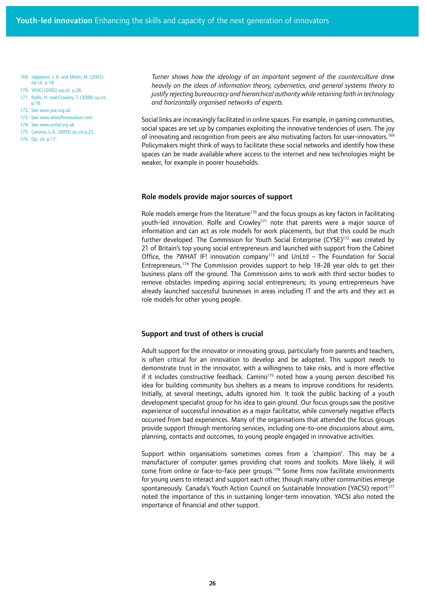169. Jeppesen, L.B. and Molin, M. (2003) op.cit. p.18.

170. YASCI (2002) op.cit. p.26.

171. Rolfe, H. and Crowley, T. (2008) op.cit. p.18.

- 172. See www.yse.org.uk
- 173. See www.whatifinnovation.com
- 174. See www.unltd.org.uk
- 175. Camino, L.A. (2000) op.cit p.23.
- 176. Op. cit. p.17.

*Turner shows how the ideology of an important segment of the counterculture drew heavily on the ideas of information theory, cybernetics, and general systems theory to justify rejecting bureaucracy and hierarchical authority while retaining faith in technology and horizontally organised networks of experts.*

Social links are increasingly facilitated in online spaces. For example, in gaming communities, social spaces are set up by companies exploiting the innovative tendencies of users. The joy of innovating and recognition from peers are also motivating factors for user-innovators.<sup>169</sup> Policymakers might think of ways to facilitate these social networks and identify how these spaces can be made available where access to the internet and new technologies might be weaker, for example in poorer households.

#### Role models provide major sources of support

Role models emerge from the literature<sup>170</sup> and the focus groups as key factors in facilitating youth-led innovation. Rolfe and Crowley<sup>171</sup> note that parents were a major source of information and can act as role models for work placements, but that this could be much further developed. The Commission for Youth Social Enterprise  $(CYSE)^{172}$  was created by 21 of Britain's top young social entrepreneurs and launched with support from the Cabinet Office, the ?WHAT IF! innovation company<sup>173</sup> and UnLtd - The Foundation for Social Entrepreneurs.174 The Commission provides support to help 18-28 year olds to get their business plans off the ground. The Commission aims to work with third sector bodies to remove obstacles impeding aspiring social entrepreneurs; its young entrepreneurs have already launched successful businesses in areas including IT and the arts and they act as role models for other young people.

## Support and trust of others is crucial

Adult support for the innovator or innovating group, particularly from parents and teachers, is often critical for an innovation to develop and be adopted. This support needs to demonstrate trust in the innovator, with a willingness to take risks, and is more effective if it includes constructive feedback. Camino<sup>175</sup> noted how a young person described his idea for building community bus shelters as a means to improve conditions for residents. Initially, at several meetings, adults ignored him. It took the public backing of a youth development specialist group for his idea to gain ground. Our focus groups saw the positive experience of successful innovation as a major facilitator, while conversely negative effects occurred from bad experiences. Many of the organisations that attended the focus groups provide support through mentoring services, including one-to-one discussions about aims, planning, contacts and outcomes, to young people engaged in innovative activities.

Support within organisations sometimes comes from a 'champion'. This may be a manufacturer of computer games providing chat rooms and toolkits. More likely, it will come from online or face-to-face peer groups.176 Some firms now facilitate environments for young users to interact and support each other, though many other communities emerge spontaneously. Canada's Youth Action Council on Sustainable Innovation (YACSI) report<sup>177</sup> noted the importance of this in sustaining longer-term innovation. YACSI also noted the importance of financial and other support.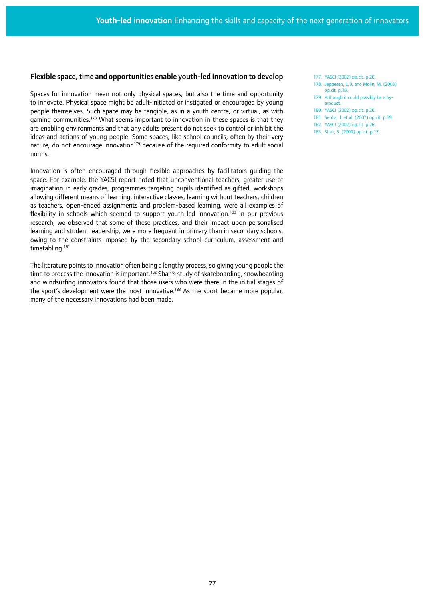### Flexible space, time and opportunities enable youth-led innovation to develop

Spaces for innovation mean not only physical spaces, but also the time and opportunity to innovate. Physical space might be adult-initiated or instigated or encouraged by young people themselves. Such space may be tangible, as in a youth centre, or virtual, as with gaming communities.<sup>178</sup> What seems important to innovation in these spaces is that they are enabling environments and that any adults present do not seek to control or inhibit the ideas and actions of young people. Some spaces, like school councils, often by their very nature, do not encourage innovation<sup>179</sup> because of the required conformity to adult social norms.

Innovation is often encouraged through flexible approaches by facilitators guiding the space. For example, the YACSI report noted that unconventional teachers, greater use of imagination in early grades, programmes targeting pupils identified as gifted, workshops allowing different means of learning, interactive classes, learning without teachers, children as teachers, open-ended assignments and problem-based learning, were all examples of flexibility in schools which seemed to support youth-led innovation.<sup>180</sup> In our previous research, we observed that some of these practices, and their impact upon personalised learning and student leadership, were more frequent in primary than in secondary schools, owing to the constraints imposed by the secondary school curriculum, assessment and timetabling.<sup>181</sup>

The literature points to innovation often being a lengthy process, so giving young people the time to process the innovation is important.<sup>182</sup> Shah's study of skateboarding, snowboarding and windsurfing innovators found that those users who were there in the initial stages of the sport's development were the most innovative.<sup>183</sup> As the sport became more popular, many of the necessary innovations had been made.

- 177. YASCI (2002) op.cit. p.26.
- 178. Jeppesen, L.B. and Molin, M. (2003) op.cit. p.18.
- 179. Although it could possibly be a byproduct.
- 180. YASCI (2002) op.cit. p.26.
- 181. Sebba, J. et al. (2007) op.cit. p.19.
- 182. YASCI (2002) op.cit. p.26.
- 183. Shah, S. (2000) op.cit. p.17.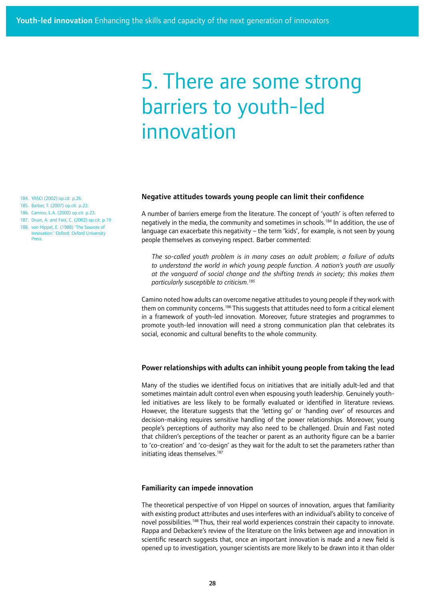## 5. There are some strong barriers to youth-led innovation

184. YASCI (2002) op.cit. p.26.

- 185. Barber, T. (2007) op.cit. p.23.
- 186. Camino, L.A. (2000) op.cit. p.23.
- 187. Druin, A. and Fast, C. (2002) op.cit. p.19

188 von Hippel, E. (1988) 'The Sources of Innovation.' Oxford: Oxford University Press.

## Negative attitudes towards young people can limit their confidence

A number of barriers emerge from the literature. The concept of 'youth' is often referred to negatively in the media, the community and sometimes in schools.<sup>184</sup> In addition, the use of language can exacerbate this negativity – the term 'kids', for example, is not seen by young people themselves as conveying respect. Barber commented:

*The so-called youth problem is in many cases an adult problem; a failure of adults to understand the world in which young people function. A nation's youth are usually at the vanguard of social change and the shifting trends in society; this makes them particularly susceptible to criticism.185*

Camino noted how adults can overcome negative attitudes to young people if they work with them on community concerns.<sup>186</sup> This suggests that attitudes need to form a critical element in a framework of youth-led innovation. Moreover, future strategies and programmes to promote youth-led innovation will need a strong communication plan that celebrates its social, economic and cultural benefits to the whole community.

#### Power relationships with adults can inhibit young people from taking the lead

Many of the studies we identified focus on initiatives that are initially adult-led and that sometimes maintain adult control even when espousing youth leadership. Genuinely youthled initiatives are less likely to be formally evaluated or identified in literature reviews. However, the literature suggests that the 'letting go' or 'handing over' of resources and decision-making requires sensitive handling of the power relationships. Moreover, young people's perceptions of authority may also need to be challenged. Druin and Fast noted that children's perceptions of the teacher or parent as an authority figure can be a barrier to 'co-creation' and 'co-design' as they wait for the adult to set the parameters rather than initiating ideas themselves.<sup>187</sup>

### Familiarity can impede innovation

The theoretical perspective of von Hippel on sources of innovation, argues that familiarity with existing product attributes and uses interferes with an individual's ability to conceive of novel possibilities.<sup>188</sup> Thus, their real world experiences constrain their capacity to innovate. Rappa and Debackere's review of the literature on the links between age and innovation in scientific research suggests that, once an important innovation is made and a new field is opened up to investigation, younger scientists are more likely to be drawn into it than older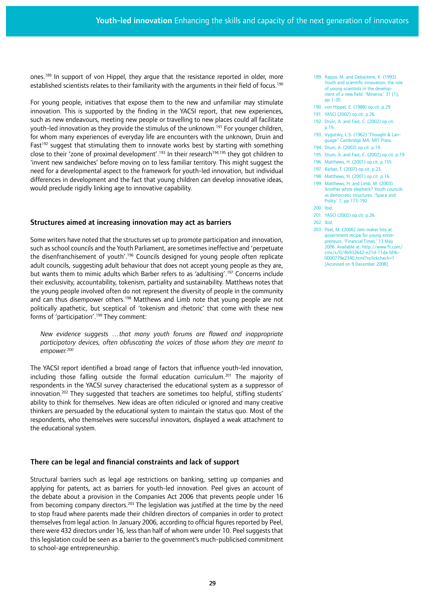ones.<sup>189</sup> In support of von Hippel, they arque that the resistance reported in older, more established scientists relates to their familiarity with the arguments in their field of focus.<sup>190</sup>

For young people, initiatives that expose them to the new and unfamiliar may stimulate innovation. This is supported by the finding in the YACSI report, that new experiences, such as new endeavours, meeting new people or travelling to new places could all facilitate youth-led innovation as they provide the stimulus of the unknown.<sup>191</sup> For younger children, for whom many experiences of everyday life are encounters with the unknown, Druin and Fast<sup>192</sup> suggest that stimulating them to innovate works best by starting with something close to their 'zone of proximal development'.<sup>193</sup> In their research<sup>194,195</sup> they got children to 'invent new sandwiches' before moving on to less familiar territory. This might suggest the need for a developmental aspect to the framework for youth-led innovation, but individual differences in development and the fact that young children can develop innovative ideas, would preclude rigidly linking age to innovative capability.

## Structures aimed at increasing innovation may act as barriers

Some writers have noted that the structures set up to promote participation and innovation, such as school councils and the Youth Parliament, are sometimes ineffective and 'perpetuate the disenfranchisement of youth'.196 Councils designed for young people often replicate adult councils, suggesting adult behaviour that does not accept young people as they are, but wants them to mimic adults which Barber refers to as 'adultising'.<sup>197</sup> Concerns include their exclusivity, accountability, tokenism, partiality and sustainability. Matthews notes that the young people involved often do not represent the diversity of people in the community and can thus disempower others.<sup>198</sup> Matthews and Limb note that young people are not politically apathetic, but sceptical of 'tokenism and rhetoric' that come with these new forms of 'participation'.<sup>199</sup> They comment:

*New evidence suggests …that many youth forums are flawed and inappropriate participatory devices, often obfuscating the voices of those whom they are meant to empower.200*

The YACSI report identified a broad range of factors that influence youth-led innovation, including those falling outside the formal education curriculum.<sup>201</sup> The majority of respondents in the YACSI survey characterised the educational system as a suppressor of innovation.<sup>202</sup> They suggested that teachers are sometimes too helpful, stifling students' ability to think for themselves. New ideas are often ridiculed or ignored and many creative thinkers are persuaded by the educational system to maintain the status quo. Most of the respondents, who themselves were successful innovators, displayed a weak attachment to the educational system.

## There can be legal and financial constraints and lack of support

Structural barriers such as legal age restrictions on banking, setting up companies and applying for patents, act as barriers for youth-led innovation. Peel gives an account of the debate about a provision in the Companies Act 2006 that prevents people under 16 from becoming company directors.203 The legislation was justified at the time by the need to stop fraud where parents made their children directors of companies in order to protect themselves from legal action. In January 2006, according to official figures reported by Peel, there were 432 directors under 16, less than half of whom were under 10. Peel suggests that this legislation could be seen as a barrier to the government's much-publicised commitment to school-age entrepreneurship.

- 189. Rappa, M. and Debackere, K. (1993) Youth and scientific innovation: the role of young scientists in the development of a new field. 'Minerva.' 31 (1), pp.1-20.
- 190. von Hippel, E. (1988) op.cit. p.29.
- 191. YASCI (2002) op.cit. p.26.
- 192. Druin, A. and Fast, C. (2002) op.cit. p.19.
- 193. Vygotsky, L.S. (1962) 'Thought & Language.' Cambridge MA: MIT Press.
- 194. Druin, A. (2002) op.cit. p.19.
- 195. Druin, A. and Fast, C. (2002) op.cit. p.19
- 196. Matthews, H. (2001) op.cit. p.155.
- 197. Barber, T. (2007) op.cit. p.23.
- 198. Matthews, H. (2001) op.cit. p.16.
- 199. Matthews, H. and Limb, M. (2003) Another white elephant? Youth councils as democratic structures. 'Space and Polity.' 7, pp.173-192.
- 200. Ibid.
- 201. YASCI (2002) op.cit. p.26.
- 202. Ibid.
- 203. Peel, M. (2006) Jam-maker hits at government recipe for young entrepreneurs. 'Financial Times.' 13 May 2006. Available at: http://www.ft.com/ cms/s/0/4b932642-e21d-11da-bf4c-0000779e2340.html?nclickcheck=1 [Accessed on 9 December 2008].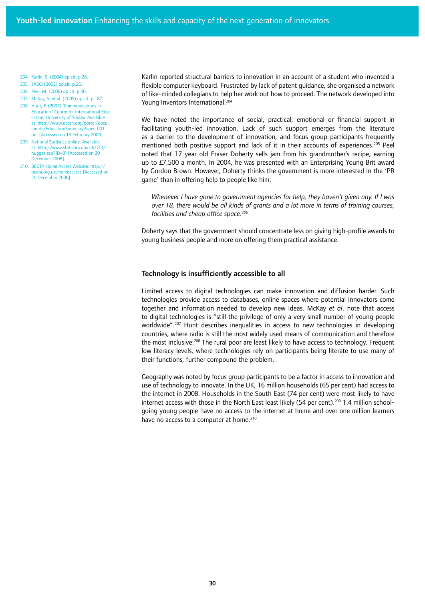204. Karlin, S. (2004) op.cit. p.26.

- 205. YASCI (2002) op.cit. p.26.
- 206. Peel, M. (2006) op.cit. p.30.
- 207. McKay, S. et al. (2005) op.cit. p.187.
- 208. Hunt, F. (2007) 'Communications in Education.' Centre for International Education, University of Sussex. Available at: http://www.dcern.org/portal/documents/EducationSummaryPaper\_001. pdf [Accessed on 13 February 2009].
- 209. National Statistics online. Available at: http://www.statistics.gov.uk/CCI/ nugget.asp?ID=8) [Accessed on 20 December 2008].
- 210. BECTA Home Access Website. http:// becta.org.uk/homeaccess [Accessed on 20 December 2008].

Karlin reported structural barriers to innovation in an account of a student who invented a flexible computer keyboard. Frustrated by lack of patent guidance, she organised a network of like-minded collegians to help her work out how to proceed. The network developed into Young Inventors International.<sup>204</sup>

We have noted the importance of social, practical, emotional or financial support in facilitating youth-led innovation. Lack of such support emerges from the literature as a barrier to the development of innovation, and focus group participants frequently mentioned both positive support and lack of it in their accounts of experiences.<sup>205</sup> Peel noted that 17 year old Fraser Doherty sells jam from his grandmother's recipe, earning up to £7,500 a month. In 2004, he was presented with an Enterprising Young Brit award by Gordon Brown. However, Doherty thinks the government is more interested in the 'PR game' than in offering help to people like him:

*Whenever I have gone to government agencies for help, they haven't given any. If I was over 18, there would be all kinds of grants and a lot more in terms of training courses, facilities and cheap office space.206*

Doherty says that the government should concentrate less on giving high-profile awards to young business people and more on offering them practical assistance.

## Technology is insufficiently accessible to all

Limited access to digital technologies can make innovation and diffusion harder. Such technologies provide access to databases, online spaces where potential innovators come together and information needed to develop new ideas. McKay *et al*. note that access to digital technologies is "still the privilege of only a very small number of young people worldwide".<sup>207</sup> Hunt describes inequalities in access to new technologies in developing countries, where radio is still the most widely used means of communication and therefore the most inclusive.<sup>208</sup> The rural poor are least likely to have access to technology. Frequent low literacy levels, where technologies rely on participants being literate to use many of their functions, further compound the problem.

Geography was noted by focus group participants to be a factor in access to innovation and use of technology to innovate. In the UK, 16 million households (65 per cent) had access to the internet in 2008. Households in the South East (74 per cent) were most likely to have internet access with those in the North East least likely (54 per cent).<sup>209</sup> 1.4 million schoolgoing young people have no access to the internet at home and over one million learners have no access to a computer at home.<sup>210</sup>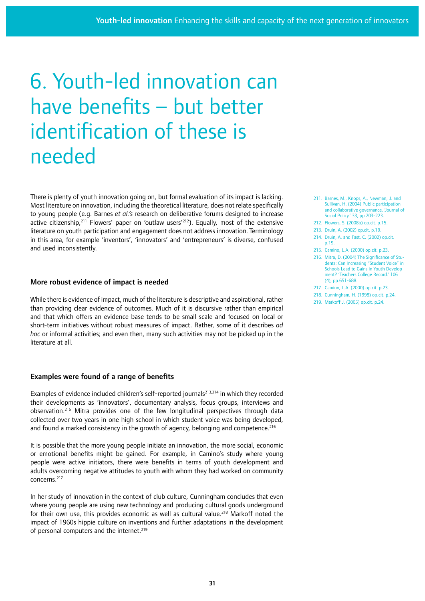# 6. Youth-led innovation can have benefits – but better identification of these is needed

There is plenty of youth innovation going on, but formal evaluation of its impact is lacking. Most literature on innovation, including the theoretical literature, does not relate specifically to young people (e.g. Barnes *et al.'s* research on deliberative forums designed to increase active citizenship,<sup>211</sup> Flowers' paper on 'outlaw users<sup>'212</sup>). Equally, most of the extensive literature on youth participation and engagement does not address innovation. Terminology in this area, for example 'inventors', 'innovators' and 'entrepreneurs' is diverse, confused and used inconsistently.

## More robust evidence of impact is needed

While there is evidence of impact, much of the literature is descriptive and aspirational, rather than providing clear evidence of outcomes. Much of it is discursive rather than empirical and that which offers an evidence base tends to be small scale and focused on local or short-term initiatives without robust measures of impact. Rather, some of it describes *ad hoc* or informal activities; and even then, many such activities may not be picked up in the literature at all.

## Examples were found of a range of benefits

Examples of evidence included children's self-reported journals<sup>213,214</sup> in which they recorded their developments as 'innovators', documentary analysis, focus groups, interviews and observation.215 Mitra provides one of the few longitudinal perspectives through data collected over two years in one high school in which student voice was being developed, and found a marked consistency in the growth of agency, belonging and competence.<sup>216</sup>

It is possible that the more young people initiate an innovation, the more social, economic or emotional benefits might be gained. For example, in Camino's study where young people were active initiators, there were benefits in terms of youth development and adults overcoming negative attitudes to youth with whom they had worked on community concerns.217

In her study of innovation in the context of club culture, Cunningham concludes that even where young people are using new technology and producing cultural goods underground for their own use, this provides economic as well as cultural value.<sup>218</sup> Markoff noted the impact of 1960s hippie culture on inventions and further adaptations in the development of personal computers and the internet.<sup>219</sup>

- 211. Barnes, M., Knops, A., Newman, J. and Sullivan, H. (2004) Public participation and collaborative governance. 'Journal of Social Policy.' 33, pp.203-223.
- 212. Flowers, S. (2008b) op.cit. p.15.
- 213. Druin, A. (2002) op.cit. p.19.
- 214. Druin, A. and Fast, C. (2002) op.cit. p.19.
- 215. Camino, L.A. (2000) op.cit. p.23.
- 216. Mitra, D. (2004) The Significance of Students: Can Increasing "Student Voice" in Schools Lead to Gains in Youth Development? 'Teachers College Record.' 106 (4), pp.651-688.
- 217. Camino, L.A. (2000) op.cit. p.23.
- 218. Cunningham, H. (1998) op.cit. p.24.
- 219. Markoff J. (2005) op.cit. p.24.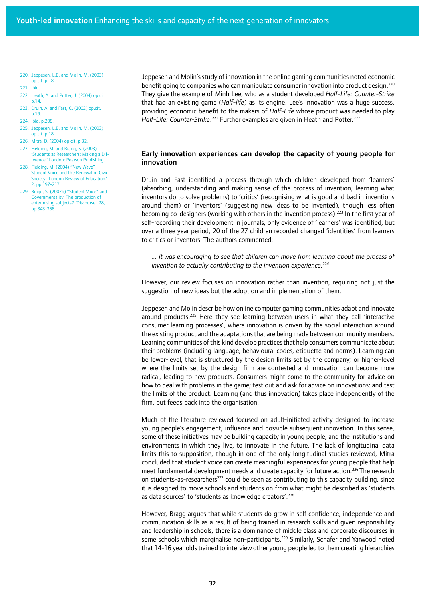- 220. Jeppesen, L.B. and Molin, M. (2003) op.cit. p.18.
- 221. Ibid.
- 222. Heath, A. and Potter, J. (2004) op.cit. p.14.
- 223. Druin, A. and Fast, C. (2002) op.cit. p.19.
- 224. Ibid. p.208.
- 225. Jeppesen, L.B. and Molin, M. (2003) op.cit. p.18.
- 226. Mitra, D. (2004) op.cit. p.32.
- 227. Fielding, M. and Bragg, S. (2003) 'Students as Researchers: Making a Difference.' London: Pearson Publishing.
- 228. Fielding, M. (2004) "New Wave" Student Voice and the Renewal of Civic Society. 'London Review of Education.' 2, pp.197-217.
- 229. Bragg, S. (2007b) "Student Voice" and Governmentality: The production of enterprising subjects? 'Discourse.' 28, pp.343-358.

Jeppesen and Molin's study of innovation in the online gaming communities noted economic benefit going to companies who can manipulate consumer innovation into product design.<sup>220</sup> They give the example of Minh Lee, who as a student developed *Half-Life: Counter-Strike*  that had an existing game (*Half-life*) as its engine. Lee's innovation was a huge success, providing economic benefit to the makers of *Half-Life* whose product was needed to play Half-Life: Counter-Strike.<sup>221</sup> Further examples are given in Heath and Potter.<sup>222</sup>

## Early innovation experiences can develop the capacity of young people for innovation

Druin and Fast identified a process through which children developed from 'learners' (absorbing, understanding and making sense of the process of invention; learning what inventors do to solve problems) to 'critics' (recognising what is good and bad in inventions around them) or 'inventors' (suggesting new ideas to be invented), though less often becoming co-designers (working with others in the invention process).<sup>223</sup> In the first year of self-recording their development in journals, only evidence of 'learners' was identified, but over a three year period, 20 of the 27 children recorded changed 'identities' from learners to critics or inventors. The authors commented:

*... it was encouraging to see that children can move from learning about the process of invention to actually contributing to the invention experience.224*

However, our review focuses on innovation rather than invention, requiring not just the suggestion of new ideas but the adoption and implementation of them.

Jeppesen and Molin describe how online computer gaming communities adapt and innovate around products.<sup>225</sup> Here they see learning between users in what they call 'interactive consumer learning processes', where innovation is driven by the social interaction around the existing product and the adaptations that are being made between community members. Learning communities of this kind develop practices that help consumers communicate about their problems (including language, behavioural codes, etiquette and norms). Learning can be lower-level, that is structured by the design limits set by the company; or higher-level where the limits set by the design firm are contested and innovation can become more radical, leading to new products. Consumers might come to the community for advice on how to deal with problems in the game; test out and ask for advice on innovations; and test the limits of the product. Learning (and thus innovation) takes place independently of the firm, but feeds back into the organisation.

Much of the literature reviewed focused on adult-initiated activity designed to increase young people's engagement, influence and possible subsequent innovation. In this sense, some of these initiatives may be building capacity in young people, and the institutions and environments in which they live, to innovate in the future. The lack of longitudinal data limits this to supposition, though in one of the only longitudinal studies reviewed, Mitra concluded that student voice can create meaningful experiences for young people that help meet fundamental development needs and create capacity for future action.<sup>226</sup> The research on students-as-researchers<sup>227</sup> could be seen as contributing to this capacity building, since it is designed to move schools and students on from what might be described as 'students as data sources' to 'students as knowledge creators'.<sup>228</sup>

However, Bragg argues that while students do grow in self confidence, independence and communication skills as a result of being trained in research skills and given responsibility and leadership in schools, there is a dominance of middle class and corporate discourses in some schools which marginalise non-participants.<sup>229</sup> Similarly, Schafer and Yarwood noted that 14-16 year olds trained to interview other young people led to them creating hierarchies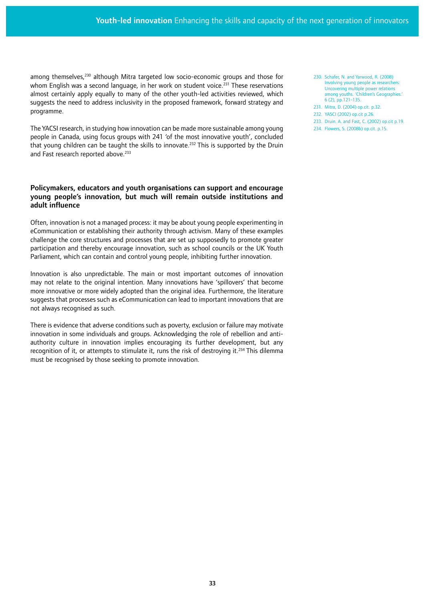among themselves,<sup>230</sup> although Mitra targeted low socio-economic groups and those for whom English was a second language, in her work on student voice.<sup>231</sup> These reservations almost certainly apply equally to many of the other youth-led activities reviewed, which suggests the need to address inclusivity in the proposed framework, forward strategy and programme.

The YACSI research, in studying how innovation can be made more sustainable among young people in Canada, using focus groups with 241 'of the most innovative youth', concluded that young children can be taught the skills to innovate.<sup>232</sup> This is supported by the Druin and Fast research reported above.<sup>233</sup>

## Policymakers, educators and youth organisations can support and encourage young people's innovation, but much will remain outside institutions and adult influence

Often, innovation is not a managed process: it may be about young people experimenting in eCommunication or establishing their authority through activism. Many of these examples challenge the core structures and processes that are set up supposedly to promote greater participation and thereby encourage innovation, such as school councils or the UK Youth Parliament, which can contain and control young people, inhibiting further innovation.

Innovation is also unpredictable. The main or most important outcomes of innovation may not relate to the original intention. Many innovations have 'spillovers' that become more innovative or more widely adopted than the original idea. Furthermore, the literature suggests that processes such as eCommunication can lead to important innovations that are not always recognised as such.

There is evidence that adverse conditions such as poverty, exclusion or failure may motivate innovation in some individuals and groups. Acknowledging the role of rebellion and antiauthority culture in innovation implies encouraging its further development, but any recognition of it, or attempts to stimulate it, runs the risk of destroving it.<sup>234</sup> This dilemma must be recognised by those seeking to promote innovation.

- 230. Schafer, N. and Yarwood, R. (2008) Involving young people as researchers: Uncovering multiple power relations among youths. 'Children's Geographies.' 6 (2), pp.121-135.
- 231. Mitra, D. (2004) op.cit. p.32.
- 232. YASCI (2002) op.cit p.26.
- 233. Druin. A. and Fast, C. (2002) op.cit p.19. 234. Flowers, S. (2008b) op.cit. p.15.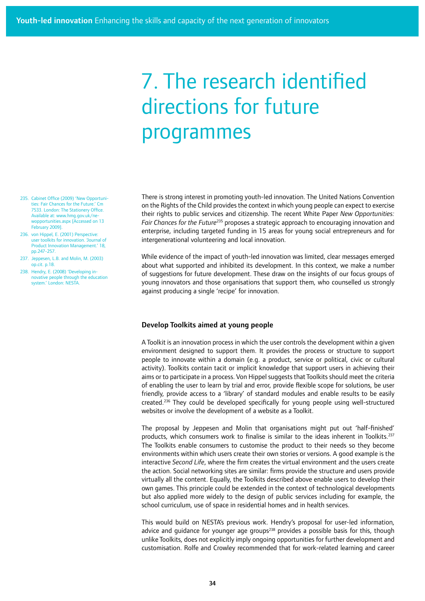## 7. The research identified directions for future programmes

- 235. Cabinet Office (2009) 'New Opportunities: Fair Chances for the Future. 7533. London: The Stationery Office. Available at: www.hmg.gov.uk/newopportunities.aspx [Accessed on 13 February 2009].
- 236. von Hippel, E. (2001) Perspective: user toolkits for innovation. 'Journal of Product Innovation Management.' 18, pp.247-257.
- 237. Jeppesen, L.B. and Molin, M. (2003) op.cit. p.18.
- 238. Hendry, E. (2008) 'Developing innovative people through the education system.' London: NESTA.

There is strong interest in promoting youth-led innovation. The United Nations Convention on the Rights of the Child provides the context in which young people can expect to exercise their rights to public services and citizenship. The recent White Paper *New Opportunities: Fair Chances for the Future*235 proposes a strategic approach to encouraging innovation and enterprise, including targeted funding in 15 areas for young social entrepreneurs and for intergenerational volunteering and local innovation.

While evidence of the impact of youth-led innovation was limited, clear messages emerged about what supported and inhibited its development. In this context, we make a number of suggestions for future development. These draw on the insights of our focus groups of young innovators and those organisations that support them, who counselled us strongly against producing a single 'recipe' for innovation.

### Develop Toolkits aimed at young people

A Toolkit is an innovation process in which the user controls the development within a given environment designed to support them. It provides the process or structure to support people to innovate within a domain (e.g. a product, service or political, civic or cultural activity). Toolkits contain tacit or implicit knowledge that support users in achieving their aims or to participate in a process. Von Hippel suggests that Toolkits should meet the criteria of enabling the user to learn by trial and error, provide flexible scope for solutions, be user friendly, provide access to a 'library' of standard modules and enable results to be easily created.236 They could be developed specifically for young people using well-structured websites or involve the development of a website as a Toolkit.

The proposal by Jeppesen and Molin that organisations might put out 'half-finished' products, which consumers work to finalise is similar to the ideas inherent in Toolkits.<sup>237</sup> The Toolkits enable consumers to customise the product to their needs so they become environments within which users create their own stories or versions. A good example is the interactive *Second Life*, where the firm creates the virtual environment and the users create the action. Social networking sites are similar: firms provide the structure and users provide virtually all the content. Equally, the Toolkits described above enable users to develop their own games. This principle could be extended in the context of technological developments but also applied more widely to the design of public services including for example, the school curriculum, use of space in residential homes and in health services.

This would build on NESTA's previous work. Hendry's proposal for user-led information, advice and quidance for younger age groups<sup>238</sup> provides a possible basis for this, though unlike Toolkits, does not explicitly imply ongoing opportunities for further development and customisation. Rolfe and Crowley recommended that for work-related learning and career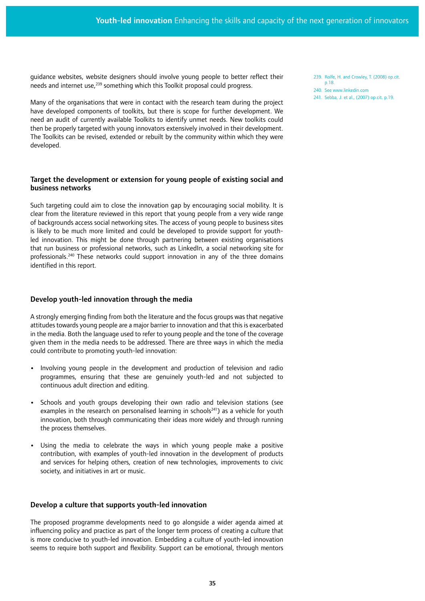guidance websites, website designers should involve young people to better reflect their needs and internet use,<sup>239</sup> something which this Toolkit proposal could progress.

Many of the organisations that were in contact with the research team during the project have developed components of toolkits, but there is scope for further development. We need an audit of currently available Toolkits to identify unmet needs. New toolkits could then be properly targeted with young innovators extensively involved in their development. The Toolkits can be revised, extended or rebuilt by the community within which they were developed.

## Target the development or extension for young people of existing social and business networks

Such targeting could aim to close the innovation gap by encouraging social mobility. It is clear from the literature reviewed in this report that young people from a very wide range of backgrounds access social networking sites. The access of young people to business sites is likely to be much more limited and could be developed to provide support for youthled innovation. This might be done through partnering between existing organisations that run business or professional networks, such as LinkedIn, a social networking site for professionals.240 These networks could support innovation in any of the three domains identified in this report.

## Develop youth-led innovation through the media

A strongly emerging finding from both the literature and the focus groups was that negative attitudes towards young people are a major barrier to innovation and that this is exacerbated in the media. Both the language used to refer to young people and the tone of the coverage given them in the media needs to be addressed. There are three ways in which the media could contribute to promoting youth-led innovation:

- Involving young people in the development and production of television and radio programmes, ensuring that these are genuinely youth-led and not subjected to continuous adult direction and editing.
- **•**  Schools and youth groups developing their own radio and television stations (see examples in the research on personalised learning in schools<sup>241</sup>) as a vehicle for youth innovation, both through communicating their ideas more widely and through running the process themselves.
- **•**  Using the media to celebrate the ways in which young people make a positive contribution, with examples of youth-led innovation in the development of products and services for helping others, creation of new technologies, improvements to civic society, and initiatives in art or music.

## Develop a culture that supports youth-led innovation

The proposed programme developments need to go alongside a wider agenda aimed at influencing policy and practice as part of the longer term process of creating a culture that is more conducive to youth-led innovation. Embedding a culture of youth-led innovation seems to require both support and flexibility. Support can be emotional, through mentors 239. Rolfe, H. and Crowley, T. (2008) op.cit. p.18.

- 240. See www.linkedin.com
- 241. Sebba, J. et al., (2007) op.cit. p.19.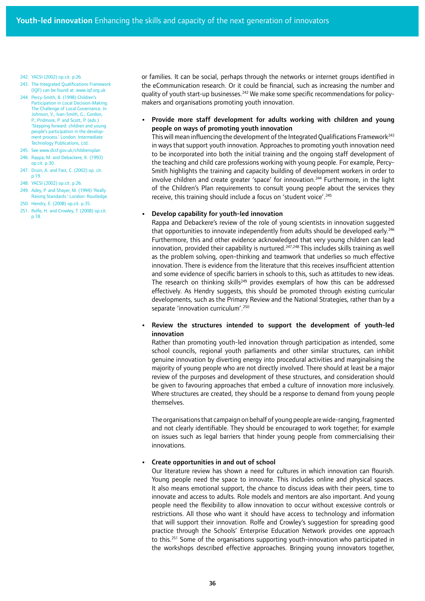- 242. YACSI (2002) op.cit. p.26.
- 243. The Integrated Qualifications Framework (IQF) can be found at: www.iqf.org.uk
- 244. Percy-Smith, B. (1998) Children's Participation in Local Decision-Making: The Challenge of Local Governance. In Johnson, V., Ivan-Smith, G., Gordon, P., Pridmore, P. and Scott, P. (eds.) 'Stepping forward: children and young people's participation in the development process.' London: Intermediate Technology Publications, Ltd.
- 245. See www.dcsf.gov.uk/childrensplan 246. Rappa, M. and Debackere, K. (1993) op.cit. p.30.
- 247. Druin, A. and Fast, C. (2002) op. cit. p.19.
- 248. YACSI (2002) op.cit. p.26.
- 249. Adey, P. and Shayer, M. (1994) 'Really Raising Standards.' London: Routledge.
- 250. Hendry, E. (2008) op.cit. p.35.
- 251. Rolfe, H. and Crowley, T. (2008) op.cit. p.18.

or families. It can be social, perhaps through the networks or internet groups identified in the eCommunication research. Or it could be financial, such as increasing the number and quality of youth start-up businesses.<sup>242</sup> We make some specific recommendations for policymakers and organisations promoting youth innovation.

Provide more staff development for adults working with children and young people on ways of promoting youth innovation

This will mean influencing the development of the Integrated Qualifications Framework<sup>243</sup> in ways that support youth innovation. Approaches to promoting youth innovation need to be incorporated into both the initial training and the ongoing staff development of the teaching and child care professions working with young people. For example, Percy-Smith highlights the training and capacity building of development workers in order to involve children and create greater 'space' for innovation.<sup>244</sup> Furthermore, in the light of the Children's Plan requirements to consult young people about the services they receive, this training should include a focus on 'student voice'.<sup>245</sup>

#### **Develop capability for youth-led innovation**

Rappa and Debackere's review of the role of young scientists in innovation suggested that opportunities to innovate independently from adults should be developed early.<sup>246</sup> Furthermore, this and other evidence acknowledged that very young children can lead innovation, provided their capability is nurtured.<sup>247,248</sup> This includes skills training as well as the problem solving, open-thinking and teamwork that underlies so much effective innovation. There is evidence from the literature that this receives insufficient attention and some evidence of specific barriers in schools to this, such as attitudes to new ideas. The research on thinking skills<sup>249</sup> provides exemplars of how this can be addressed effectively. As Hendry suggests, this should be promoted through existing curricular developments, such as the Primary Review and the National Strategies, rather than by a separate 'innovation curriculum'.<sup>250</sup>

**•**  Review the structures intended to support the development of youth-led innovation

Rather than promoting youth-led innovation through participation as intended, some school councils, regional youth parliaments and other similar structures, can inhibit genuine innovation by diverting energy into procedural activities and marginalising the majority of young people who are not directly involved. There should at least be a major review of the purposes and development of these structures, and consideration should be given to favouring approaches that embed a culture of innovation more inclusively. Where structures are created, they should be a response to demand from young people themselves.

The organisations that campaign on behalf of young people are wide-ranging, fragmented and not clearly identifiable. They should be encouraged to work together; for example on issues such as legal barriers that hinder young people from commercialising their innovations.

#### **Create opportunities in and out of school**

Our literature review has shown a need for cultures in which innovation can flourish. Young people need the space to innovate. This includes online and physical spaces. It also means emotional support, the chance to discuss ideas with their peers, time to innovate and access to adults. Role models and mentors are also important. And young people need the flexibility to allow innovation to occur without excessive controls or restrictions. All those who want it should have access to technology and information that will support their innovation. Rolfe and Crowley's suggestion for spreading good practice through the Schools' Enterprise Education Network provides one approach to this.251 Some of the organisations supporting youth-innovation who participated in the workshops described effective approaches. Bringing young innovators together,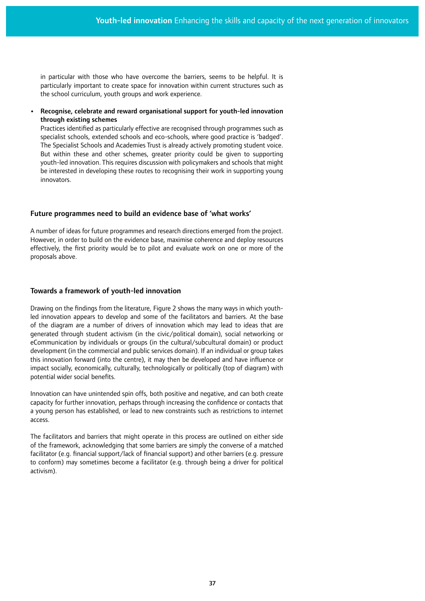in particular with those who have overcome the barriers, seems to be helpful. It is particularly important to create space for innovation within current structures such as the school curriculum, youth groups and work experience.

Recognise, celebrate and reward organisational support for youth-led innovation through existing schemes

Practices identified as particularly effective are recognised through programmes such as specialist schools, extended schools and eco-schools, where good practice is 'badged'. The Specialist Schools and Academies Trust is already actively promoting student voice. But within these and other schemes, greater priority could be given to supporting youth-led innovation. This requires discussion with policymakers and schools that might be interested in developing these routes to recognising their work in supporting young innovators.

## Future programmes need to build an evidence base of 'what works'

A number of ideas for future programmes and research directions emerged from the project. However, in order to build on the evidence base, maximise coherence and deploy resources effectively, the first priority would be to pilot and evaluate work on one or more of the proposals above.

## Towards a framework of youth-led innovation

Drawing on the findings from the literature, Figure 2 shows the many ways in which youthled innovation appears to develop and some of the facilitators and barriers. At the base of the diagram are a number of drivers of innovation which may lead to ideas that are generated through student activism (in the civic/political domain), social networking or eCommunication by individuals or groups (in the cultural/subcultural domain) or product development (in the commercial and public services domain). If an individual or group takes this innovation forward (into the centre), it may then be developed and have influence or impact socially, economically, culturally, technologically or politically (top of diagram) with potential wider social benefits.

Innovation can have unintended spin offs, both positive and negative, and can both create capacity for further innovation, perhaps through increasing the confidence or contacts that a young person has established, or lead to new constraints such as restrictions to internet access.

The facilitators and barriers that might operate in this process are outlined on either side of the framework, acknowledging that some barriers are simply the converse of a matched facilitator (e.g. financial support/lack of financial support) and other barriers (e.g. pressure to conform) may sometimes become a facilitator (e.g. through being a driver for political activism).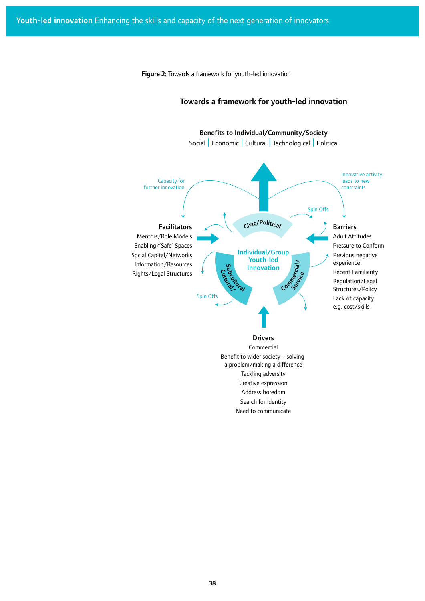Figure 2: Towards a framework for youth-led innovation

#### Drivers Commercial Benefit to wider society – solving a problem/making a difference Tackling adversity Creative expression Address boredom Search for identity Need to communicate Facilitators Mentors/Role Models Enabling/'Safe' Spaces Social Capital/Networks Information/Resources Rights/Legal Structures Benefits to Individual/Community/Society Individual/Group Youth-led Innovation Social | Economic | Cultural | Technological | Political Capacity for further innovation Spin Offs Spin Offs Innovative activity leads to new constraints Barriers Adult Attitudes Pressure to Conform Previous negative experience Recent Familiarity Regulation/Legal Structures/Policy Lack of capacity e.g. cost/skills Civic/Political Cukuwa uch<br>Education Service Commercial/

## Towards a framework for youth-led innovation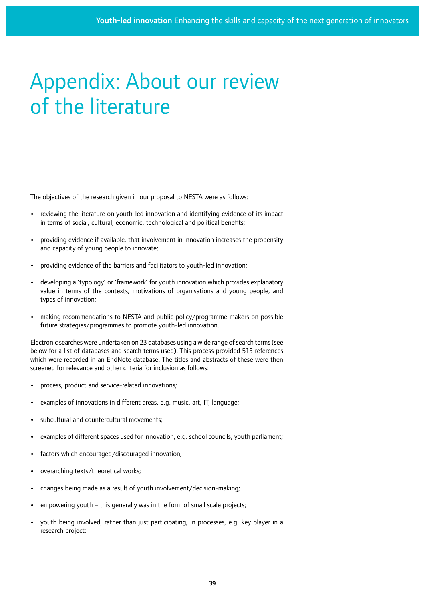# Appendix: About our review of the literature

The objectives of the research given in our proposal to NESTA were as follows:

- **•**  reviewing the literature on youth-led innovation and identifying evidence of its impact in terms of social, cultural, economic, technological and political benefits;
- **•**  providing evidence if available, that involvement in innovation increases the propensity and capacity of young people to innovate;
- providing evidence of the barriers and facilitators to youth-led innovation;
- **•**  developing a 'typology' or 'framework' for youth innovation which provides explanatory value in terms of the contexts, motivations of organisations and young people, and types of innovation;
- **•**  making recommendations to NESTA and public policy/programme makers on possible future strategies/programmes to promote youth-led innovation.

Electronic searches were undertaken on 23 databases using a wide range of search terms (see below for a list of databases and search terms used). This process provided 513 references which were recorded in an EndNote database. The titles and abstracts of these were then screened for relevance and other criteria for inclusion as follows:

- process, product and service-related innovations;
- examples of innovations in different areas, e.g. music, art, IT, language;
- subcultural and countercultural movements:
- examples of different spaces used for innovation, e.g. school councils, youth parliament;
- **•**  factors which encouraged/discouraged innovation;
- overarching texts/theoretical works;
- **•**  changes being made as a result of youth involvement/decision-making;
- empowering youth this generally was in the form of small scale projects;
- youth being involved, rather than just participating, in processes, e.g. key player in a research project;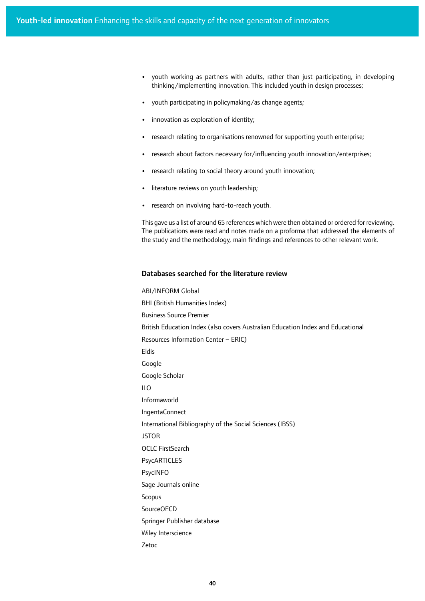- **•**  youth working as partners with adults, rather than just participating, in developing thinking/implementing innovation. This included youth in design processes;
- **•**  youth participating in policymaking/as change agents;
- **•**  innovation as exploration of identity;
- **•**  research relating to organisations renowned for supporting youth enterprise;
- research about factors necessary for/influencing youth innovation/enterprises;
- research relating to social theory around youth innovation;
- literature reviews on youth leadership;
- research on involving hard-to-reach youth.

This gave us a list of around 65 references which were then obtained or ordered for reviewing. The publications were read and notes made on a proforma that addressed the elements of the study and the methodology, main findings and references to other relevant work.

## Databases searched for the literature review

ABI/INFORM Global BHI (British Humanities Index) Business Source Premier British Education Index (also covers Australian Education Index and Educational Resources Information Center – ERIC) Eldis Google Google Scholar ILO Informaworld IngentaConnect International Bibliography of the Social Sciences (IBSS) **JSTOR** OCLC FirstSearch PsycARTICLES PsycINFO Sage Journals online Scopus SourceOECD Springer Publisher database Wiley Interscience Zetoc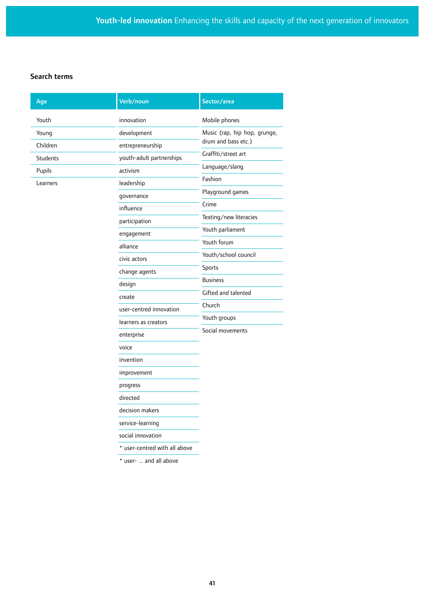## Search terms

| Age             | Verb/noun                     | Sector/area                                                      |
|-----------------|-------------------------------|------------------------------------------------------------------|
| Youth           | innovation                    | Mobile phones                                                    |
| Young           | development                   | Music (rap, hip hop, grunge,                                     |
| Children        | entrepreneurship              | drum and bass etc.)                                              |
| <b>Students</b> | youth-adult partnerships      | Graffiti/street art                                              |
| Pupils          | activism                      | Language/slang                                                   |
| Learners        | leadership                    | Fashion                                                          |
|                 | governance                    | Playground games                                                 |
|                 | influence                     | Crime<br>Texting/new literacies                                  |
|                 | participation                 |                                                                  |
|                 | engagement                    | Youth parliament                                                 |
|                 | alliance                      | Youth forum                                                      |
|                 | civic actors                  | Youth/school council                                             |
|                 | change agents                 | Sports                                                           |
|                 | design                        | <b>Business</b><br>Gifted and talented<br>Church<br>Youth groups |
|                 | create                        |                                                                  |
|                 | user-centred innovation       |                                                                  |
|                 | learners as creators          |                                                                  |
|                 | enterprise                    | Social movements                                                 |
|                 | voice                         |                                                                  |
|                 | invention                     |                                                                  |
|                 | improvement                   |                                                                  |
|                 | progress                      |                                                                  |
|                 | directed                      |                                                                  |
|                 | decision makers               |                                                                  |
|                 | service-learning              |                                                                  |
|                 | social innovation             |                                                                  |
|                 | * user-centred with all above |                                                                  |
|                 |                               |                                                                  |

\* user- ... and all above